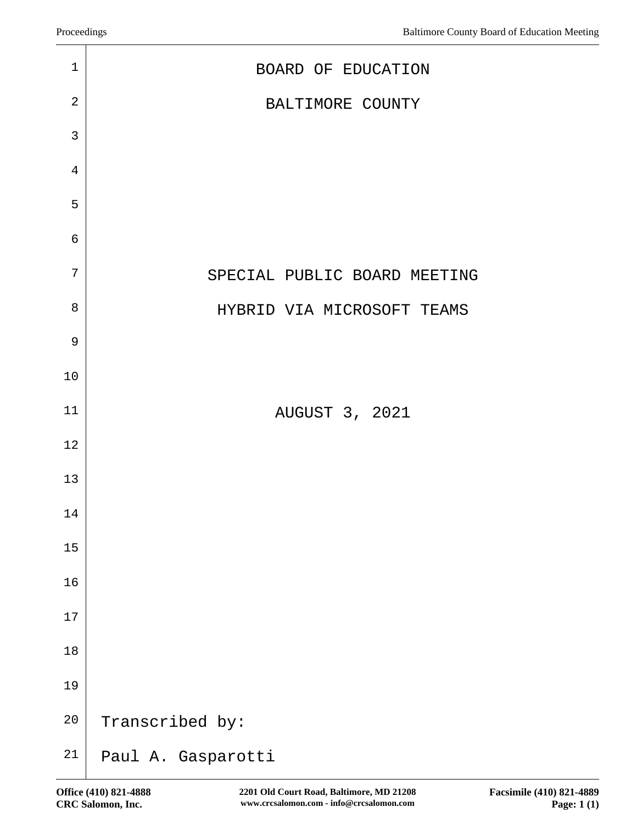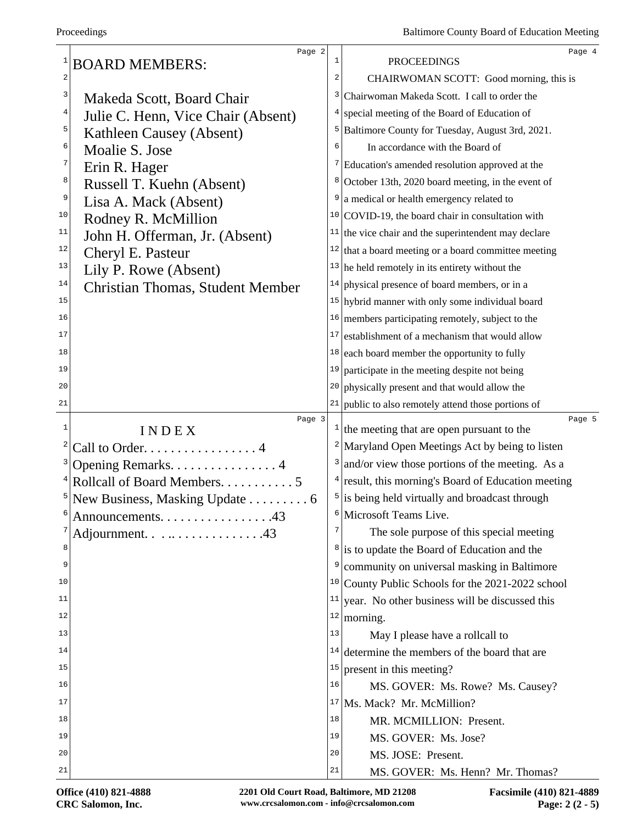|              | Page 2                                  |                         |                                                             | Page 4 |
|--------------|-----------------------------------------|-------------------------|-------------------------------------------------------------|--------|
|              | <b>BOARD MEMBERS:</b>                   | $\mathbf{1}$            | <b>PROCEEDINGS</b>                                          |        |
| $\sqrt{2}$   |                                         | $\overline{\mathbf{c}}$ | CHAIRWOMAN SCOTT: Good morning, this is                     |        |
| 3            | Makeda Scott, Board Chair               | 3                       | Chairwoman Makeda Scott. I call to order the                |        |
| 4            | Julie C. Henn, Vice Chair (Absent)      | 4                       | special meeting of the Board of Education of                |        |
| 5            | Kathleen Causey (Absent)                | 5                       | Baltimore County for Tuesday, August 3rd, 2021.             |        |
| 6            | Moalie S. Jose                          | 6                       | In accordance with the Board of                             |        |
| 7            | Erin R. Hager                           | 7                       | Education's amended resolution approved at the              |        |
| $\,8\,$      | Russell T. Kuehn (Absent)               | 8                       | October 13th, 2020 board meeting, in the event of           |        |
| 9            | Lisa A. Mack (Absent)                   | 9                       | a medical or health emergency related to                    |        |
| 10           | Rodney R. McMillion                     |                         | $10$ COVID-19, the board chair in consultation with         |        |
| 11           | John H. Offerman, Jr. (Absent)          |                         | $11$ the vice chair and the superintendent may declare      |        |
| 12           | Cheryl E. Pasteur                       |                         | $12$ that a board meeting or a board committee meeting      |        |
| 13           | Lily P. Rowe (Absent)                   |                         | $13$ he held remotely in its entirety without the           |        |
| 14           | <b>Christian Thomas, Student Member</b> | 14                      | physical presence of board members, or in a                 |        |
| 15           |                                         |                         | $15$ hybrid manner with only some individual board          |        |
| 16           |                                         |                         | $16$ members participating remotely, subject to the         |        |
| 17           |                                         | 17                      | establishment of a mechanism that would allow               |        |
| 18           |                                         | 18                      | each board member the opportunity to fully                  |        |
| 19           |                                         | 19                      | participate in the meeting despite not being                |        |
| 20           |                                         |                         | $20$ physically present and that would allow the            |        |
| 21           |                                         |                         | $21$ public to also remotely attend those portions of       |        |
| $\mathbf{1}$ | Page 3                                  |                         |                                                             | Page 5 |
| 2            | INDEX                                   |                         | $\frac{1}{1}$ the meeting that are open pursuant to the     |        |
|              | Call to Order. 4                        |                         | <sup>2</sup>  Maryland Open Meetings Act by being to listen |        |
|              | Opening Remarks. 4                      | 3                       | and/or view those portions of the meeting. As a             |        |
|              | Rollcall of Board Members. 5            |                         | $4$ result, this morning's Board of Education meeting       |        |
|              | New Business, Masking Update 6          | 5                       | is being held virtually and broadcast through               |        |
| 6            | Announcements. 43                       |                         | <sup>6</sup> Microsoft Teams Live.                          |        |
|              | Adjournment. 43                         | 7                       | The sole purpose of this special meeting                    |        |
| 8            |                                         |                         | <sup>8</sup> is to update the Board of Education and the    |        |
| 9            |                                         | 9                       | community on universal masking in Baltimore                 |        |
| 10           |                                         |                         | $10$ County Public Schools for the 2021-2022 school         |        |
| 11           |                                         | 11                      | year. No other business will be discussed this              |        |
| 12           |                                         |                         | $112$ morning.                                              |        |
| 13           |                                         | 13                      | May I please have a rollcall to                             |        |
| 14           |                                         | 14                      | determine the members of the board that are                 |        |
| 15           |                                         | 15                      | present in this meeting?                                    |        |
| 16           |                                         | 16                      | MS. GOVER: Ms. Rowe? Ms. Causey?                            |        |
| 17           |                                         |                         | <sup>17</sup> Ms. Mack? Mr. McMillion?                      |        |
| 18           |                                         | 18                      | MR. MCMILLION: Present.                                     |        |
| 19           |                                         | 19                      | MS. GOVER: Ms. Jose?                                        |        |
|              |                                         |                         |                                                             |        |
| 20           |                                         | 20                      | MS. JOSE: Present.                                          |        |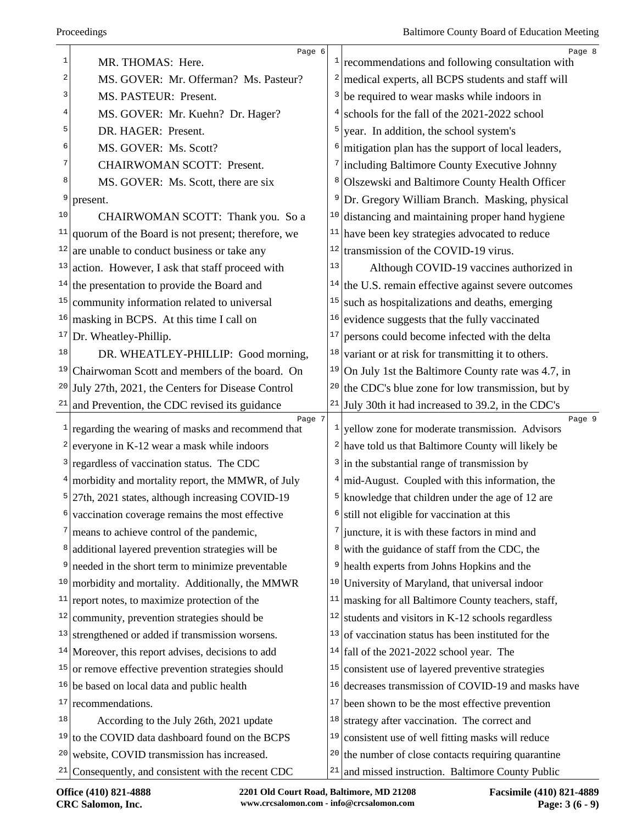| $\mathbf{1}$ | Page 6<br>MR. THOMAS: Here.                                  | $\mathbf{1}$            | Page 8<br>recommendations and following consultation with   |
|--------------|--------------------------------------------------------------|-------------------------|-------------------------------------------------------------|
| 2            | MS. GOVER: Mr. Offerman? Ms. Pasteur?                        | $\overline{\mathbf{c}}$ | medical experts, all BCPS students and staff will           |
| 3            | MS. PASTEUR: Present.                                        | 3                       | be required to wear masks while indoors in                  |
| 4            | MS. GOVER: Mr. Kuehn? Dr. Hager?                             | 4                       | schools for the fall of the 2021-2022 school                |
| 5            | DR. HAGER: Present.                                          | 5                       | year. In addition, the school system's                      |
| 6            | MS. GOVER: Ms. Scott?                                        | 6                       | mitigation plan has the support of local leaders,           |
| 7            | <b>CHAIRWOMAN SCOTT: Present.</b>                            |                         | 7 including Baltimore County Executive Johnny               |
| 8            | MS. GOVER: Ms. Scott, there are six                          | 8                       | Olszewski and Baltimore County Health Officer               |
| 9            | present.                                                     | 9                       | Dr. Gregory William Branch. Masking, physical               |
| 10           | CHAIRWOMAN SCOTT: Thank you. So a                            | 10                      | distancing and maintaining proper hand hygiene              |
| 11           | quorum of the Board is not present; therefore, we            | 11                      | have been key strategies advocated to reduce                |
| 12           | are unable to conduct business or take any                   |                         | $12$ transmission of the COVID-19 virus.                    |
| 13           | action. However, I ask that staff proceed with               | 13                      | Although COVID-19 vaccines authorized in                    |
|              | $14$ the presentation to provide the Board and               | 14                      | the U.S. remain effective against severe outcomes           |
| 15           | community information related to universal                   | 15                      | such as hospitalizations and deaths, emerging               |
| 16           | masking in BCPS. At this time I call on                      | 16                      | evidence suggests that the fully vaccinated                 |
| 17           | Dr. Wheatley-Phillip.                                        | $17\,$                  | persons could become infected with the delta                |
| 18           | DR. WHEATLEY-PHILLIP: Good morning,                          | 18                      | variant or at risk for transmitting it to others.           |
| 19           | Chairwoman Scott and members of the board. On                | 19                      | On July 1st the Baltimore County rate was 4.7, in           |
| 20           | July 27th, 2021, the Centers for Disease Control             | 20                      | the CDC's blue zone for low transmission, but by            |
| 21           | and Prevention, the CDC revised its guidance                 |                         | $21$ July 30th it had increased to 39.2, in the CDC's       |
| $\mathbf{1}$ | Page 7<br>regarding the wearing of masks and recommend that  |                         | Page 9<br>yellow zone for moderate transmission. Advisors   |
| 2            | everyone in K-12 wear a mask while indoors                   |                         | $2$ have told us that Baltimore County will likely be       |
| 3            | regardless of vaccination status. The CDC                    |                         | $3$ in the substantial range of transmission by             |
|              | $4 \mid$ morbidity and mortality report, the MMWR, of July   |                         | mid-August. Coupled with this information, the              |
| 5            | 27th, 2021 states, although increasing COVID-19              | 5                       | knowledge that children under the age of 12 are             |
| 6            | vaccination coverage remains the most effective              |                         | $\frac{1}{2}$ still not eligible for vaccination at this    |
| 7            | means to achieve control of the pandemic,                    | 7                       | juncture, it is with these factors in mind and              |
| 8            | additional layered prevention strategies will be             | 8                       | with the guidance of staff from the CDC, the                |
| 9            | needed in the short term to minimize preventable             | 9                       | health experts from Johns Hopkins and the                   |
| 10           | morbidity and mortality. Additionally, the MMWR              |                         | <sup>10</sup> University of Maryland, that universal indoor |
| 11           | report notes, to maximize protection of the                  | 11                      | masking for all Baltimore County teachers, staff,           |
| 12           | community, prevention strategies should be                   | 12                      | students and visitors in K-12 schools regardless            |
| 13           | strengthened or added if transmission worsens.               | 13                      | of vaccination status has been instituted for the           |
|              |                                                              | 14                      |                                                             |
| 15           | $14$ Moreover, this report advises, decisions to add         | 15                      | fall of the 2021-2022 school year. The                      |
| 16           | or remove effective prevention strategies should             |                         | consistent use of layered preventive strategies             |
| 17           | be based on local data and public health<br>recommendations. | 16<br>17                | decreases transmission of COVID-19 and masks have           |
| 18           |                                                              | 18                      | been shown to be the most effective prevention              |
| 19           | According to the July 26th, 2021 update                      |                         | strategy after vaccination. The correct and                 |
| 20           | to the COVID data dashboard found on the BCPS                | 19                      | consistent use of well fitting masks will reduce            |
| 21           | website, COVID transmission has increased.                   | 20                      | the number of close contacts requiring quarantine           |
|              | Consequently, and consistent with the recent CDC             |                         | $21$ and missed instruction. Baltimore County Public        |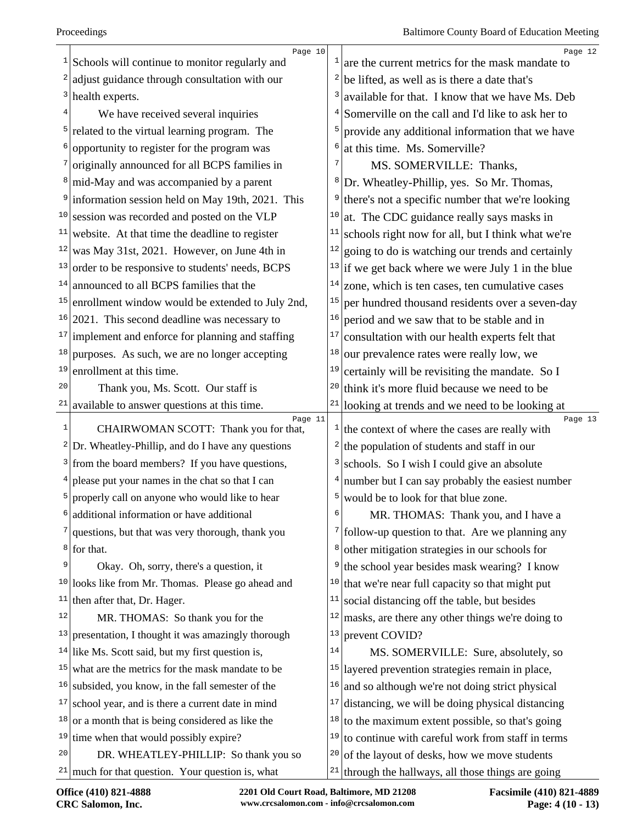| $\mathbf{1}$ | Page 10<br>Schools will continue to monitor regularly and     | $\mathbf{1}$ | Page 12<br>are the current metrics for the mask mandate to              |
|--------------|---------------------------------------------------------------|--------------|-------------------------------------------------------------------------|
|              | $2$ adjust guidance through consultation with our             | 2            | be lifted, as well as is there a date that's                            |
|              | $3$ health experts.                                           | 3            | available for that. I know that we have Ms. Deb                         |
| 4            | We have received several inquiries                            | 4            | Somerville on the call and I'd like to ask her to                       |
| 5            | related to the virtual learning program. The                  | 5            | provide any additional information that we have                         |
| 6            | opportunity to register for the program was                   | 6            | at this time. Ms. Somerville?                                           |
|              | originally announced for all BCPS families in                 | 7            | MS. SOMERVILLE: Thanks,                                                 |
|              | <sup>8</sup> mid-May and was accompanied by a parent          |              | <sup>8</sup> Dr. Wheatley-Phillip, yes. So Mr. Thomas,                  |
|              | <sup>9</sup> information session held on May 19th, 2021. This | 9            | there's not a specific number that we're looking                        |
|              | $10$ session was recorded and posted on the VLP               | 10           | at. The CDC guidance really says masks in                               |
| 11           | website. At that time the deadline to register                | 11           | schools right now for all, but I think what we're                       |
|              | $12$ was May 31st, 2021. However, on June 4th in              | 12           | going to do is watching our trends and certainly                        |
|              | $13$ order to be responsive to students' needs, BCPS          |              | $13$ if we get back where we were July 1 in the blue                    |
|              | $14$ announced to all BCPS families that the                  | 14           | zone, which is ten cases, ten cumulative cases                          |
|              | $15$ enrollment window would be extended to July 2nd,         | 15           | per hundred thousand residents over a seven-day                         |
|              | $16 2021$ . This second deadline was necessary to             | 16           | period and we saw that to be stable and in                              |
|              | $17$ implement and enforce for planning and staffing          | $17\,$       | consultation with our health experts felt that                          |
| 18           | purposes. As such, we are no longer accepting                 | 18           | our prevalence rates were really low, we                                |
| 19           | enrollment at this time.                                      | 19           | certainly will be revisiting the mandate. So I                          |
| 20           | Thank you, Ms. Scott. Our staff is                            | 20           | think it's more fluid because we need to be                             |
|              | <sup>21</sup> available to answer questions at this time.     | 21           | looking at trends and we need to be looking at                          |
| $\mathbf 1$  | Page 11<br>CHAIRWOMAN SCOTT: Thank you for that,              |              | Page 13<br>$\frac{1}{1}$ the context of where the cases are really with |
|              | $2 Dr.$ Wheatley-Phillip, and do I have any questions         | 2            | the population of students and staff in our                             |
|              | $3$ from the board members? If you have questions,            | 3            | schools. So I wish I could give an absolute                             |
|              | please put your names in the chat so that I can               |              | $4$ number but I can say probably the easiest number                    |
|              | <sup>5</sup> properly call on anyone who would like to hear   | 5            | would be to look for that blue zone.                                    |
|              | additional information or have additional                     | 6            | MR. THOMAS: Thank you, and I have a                                     |
|              | $7$ questions, but that was very thorough, thank you          |              | $\frac{7}{1}$ follow-up question to that. Are we planning any           |
|              | $8$ for that.                                                 | 8            | other mitigation strategies in our schools for                          |
| 9            | Okay. Oh, sorry, there's a question, it                       | 9            | the school year besides mask wearing? I know                            |
| 10           | looks like from Mr. Thomas. Please go ahead and               | 10           | that we're near full capacity so that might put                         |
| 11           | then after that, Dr. Hager.                                   | 11           | social distancing off the table, but besides                            |
| 12           | MR. THOMAS: So thank you for the                              | 12           | masks, are there any other things we're doing to                        |
| 13           | presentation, I thought it was amazingly thorough             | 13           | prevent COVID?                                                          |
|              | $14$ like Ms. Scott said, but my first question is,           | 14           | MS. SOMERVILLE: Sure, absolutely, so                                    |
|              | $15$ what are the metrics for the mask mandate to be          | 15           | layered prevention strategies remain in place,                          |
| 16           | subsided, you know, in the fall semester of the               | 16           | and so although we're not doing strict physical                         |
|              | $17$ school year, and is there a current date in mind         | 17           | distancing, we will be doing physical distancing                        |
|              | $18$ or a month that is being considered as like the          | 18           | to the maximum extent possible, so that's going                         |
| 19           | time when that would possibly expire?                         | 19           | to continue with careful work from staff in terms                       |
| 20           | DR. WHEATLEY-PHILLIP: So thank you so                         | 20           | of the layout of desks, how we move students                            |
|              | $21$ much for that question. Your question is, what           |              | $21$ through the hallways, all those things are going                   |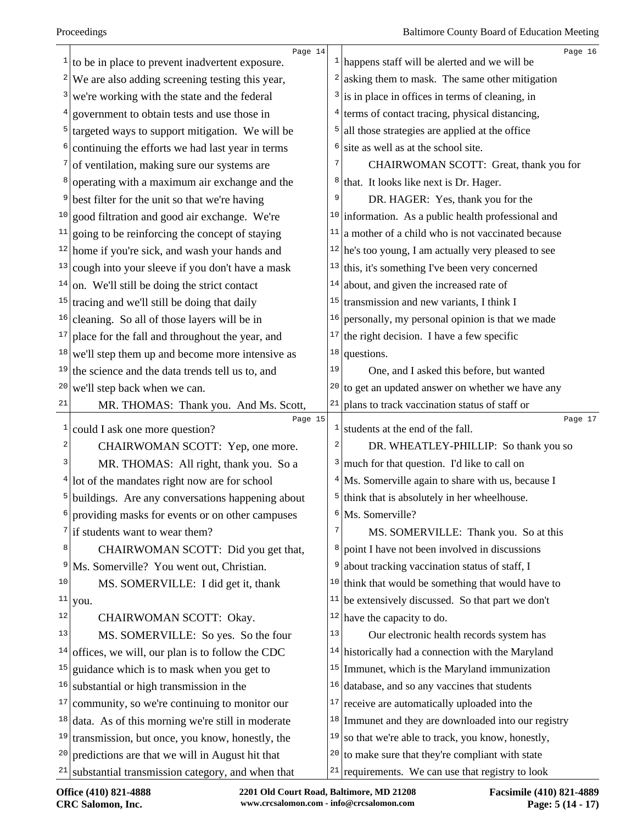|              | Page 14<br>$\frac{1}{1}$ to be in place to prevent inadvertent exposure. |                         | Page 16<br>$\frac{1}{2}$   happens staff will be alerted and we will be |
|--------------|--------------------------------------------------------------------------|-------------------------|-------------------------------------------------------------------------|
|              | $2$ We are also adding screening testing this year,                      |                         | $2$ asking them to mask. The same other mitigation                      |
|              | $3$ we're working with the state and the federal                         |                         | $3$ is in place in offices in terms of cleaning, in                     |
|              | $4$ government to obtain tests and use those in                          | 4                       | terms of contact tracing, physical distancing,                          |
|              | $5$ targeted ways to support mitigation. We will be                      | 5                       | all those strategies are applied at the office                          |
|              | $6$ continuing the efforts we had last year in terms                     | 6                       | site as well as at the school site.                                     |
|              | $\frac{7}{1}$ of ventilation, making sure our systems are                | 7                       | CHAIRWOMAN SCOTT: Great, thank you for                                  |
|              | <sup>8</sup> operating with a maximum air exchange and the               | 8                       | that. It looks like next is Dr. Hager.                                  |
| 9            | best filter for the unit so that we're having                            | 9                       | DR. HAGER: Yes, thank you for the                                       |
|              | $10$ good filtration and good air exchange. We're                        |                         | $10$ information. As a public health professional and                   |
|              | $\frac{11}{2}$ going to be reinforcing the concept of staying            | 11                      | a mother of a child who is not vaccinated because                       |
|              | $12$ home if you're sick, and wash your hands and                        |                         | $12$ he's too young, I am actually very pleased to see                  |
|              | $13$ cough into your sleeve if you don't have a mask                     | 13                      | this, it's something I've been very concerned                           |
|              | $14$ on. We'll still be doing the strict contact                         | 14                      | about, and given the increased rate of                                  |
|              | $15$ tracing and we'll still be doing that daily                         | 15                      | transmission and new variants, I think I                                |
|              | $16$ cleaning. So all of those layers will be in                         | 16                      | personally, my personal opinion is that we made                         |
| 17           | place for the fall and throughout the year, and                          | 17                      | the right decision. I have a few specific                               |
|              | $18$ we'll step them up and become more intensive as                     | 18                      | questions.                                                              |
| 19           | the science and the data trends tell us to, and                          | 19                      | One, and I asked this before, but wanted                                |
| 20           | we'll step back when we can.                                             | 20                      | to get an updated answer on whether we have any                         |
| 21           | MR. THOMAS: Thank you. And Ms. Scott,                                    | 21                      | plans to track vaccination status of staff or                           |
| $\mathbf{1}$ | Page 15<br>could I ask one more question?                                | $\mathbf{1}$            | Page 17<br>students at the end of the fall.                             |
| 2            | CHAIRWOMAN SCOTT: Yep, one more.                                         | $\overline{\mathbf{c}}$ | DR. WHEATLEY-PHILLIP: So thank you so                                   |
| 3            | MR. THOMAS: All right, thank you. So a                                   | 3                       | much for that question. I'd like to call on                             |
|              | $4$ lot of the mandates right now are for school                         |                         | $4$ Ms. Somerville again to share with us, because I                    |
|              | $5$ buildings. Are any conversations happening about                     | 5                       | think that is absolutely in her wheelhouse.                             |
|              | providing masks for events or on other campuses                          | 6                       | Ms. Somerville?                                                         |
|              | $\frac{7}{1}$ if students want to wear them?                             | 7                       | MS. SOMERVILLE: Thank you. So at this                                   |
| 8            | CHAIRWOMAN SCOTT: Did you get that,                                      | 8                       | point I have not been involved in discussions                           |
| 9            | Ms. Somerville? You went out, Christian.                                 | 9                       | about tracking vaccination status of staff, I                           |
| 10           | MS. SOMERVILLE: I did get it, thank                                      | 10                      | think that would be something that would have to                        |
| 11           | you.                                                                     | 11                      | be extensively discussed. So that part we don't                         |
| 12           | CHAIRWOMAN SCOTT: Okay.                                                  |                         | $12$ have the capacity to do.                                           |
| 13           | MS. SOMERVILLE: So yes. So the four                                      | 13                      | Our electronic health records system has                                |
| 14           | offices, we will, our plan is to follow the CDC                          |                         | $14$ historically had a connection with the Maryland                    |
| 15           | guidance which is to mask when you get to                                | 15                      | Immunet, which is the Maryland immunization                             |
| 16           | substantial or high transmission in the                                  | 16                      | database, and so any vaccines that students                             |
|              | $17$ community, so we're continuing to monitor our                       | 17                      | receive are automatically uploaded into the                             |
|              | $18$ data. As of this morning we're still in moderate                    | 18                      | Immunet and they are downloaded into our registry                       |
| 19           | transmission, but once, you know, honestly, the                          | 19                      | so that we're able to track, you know, honestly,                        |
| 20           | predictions are that we will in August hit that                          | 20                      | to make sure that they're compliant with state                          |
|              | $21$ substantial transmission category, and when that                    |                         | $21$ requirements. We can use that registry to look                     |
|              |                                                                          |                         |                                                                         |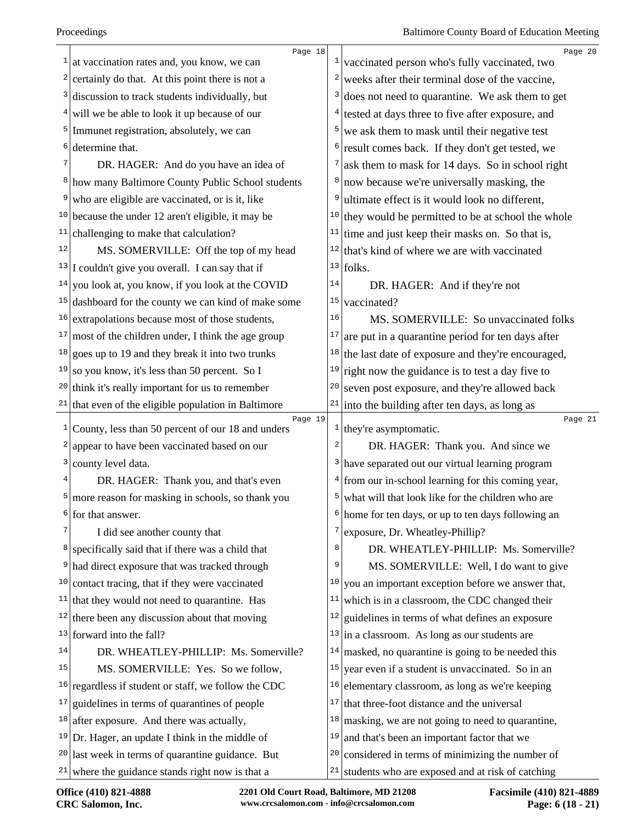|    | Page 18                                                |                 | Page 20                                                      |
|----|--------------------------------------------------------|-----------------|--------------------------------------------------------------|
| 1  | at vaccination rates and, you know, we can             | $\mathbf{1}$    | vaccinated person who's fully vaccinated, two                |
| 2  | certainly do that. At this point there is not a        | 2               | weeks after their terminal dose of the vaccine,              |
| 3  | discussion to track students individually, but         | 3               | does not need to quarantine. We ask them to get              |
| 4  | will we be able to look it up because of our           |                 | $4$ tested at days three to five after exposure, and         |
| 5  | Immunet registration, absolutely, we can               | 5               | we ask them to mask until their negative test                |
| 6  | determine that.                                        | 6               | result comes back. If they don't get tested, we              |
|    | DR. HAGER: And do you have an idea of                  | 7               | ask them to mask for 14 days. So in school right             |
| 8  | how many Baltimore County Public School students       | $8 \mid$        | now because we're universally masking, the                   |
| 9  | who are eligible are vaccinated, or is it, like        | 9               | ultimate effect is it would look no different,               |
|    | $10$ because the under 12 aren't eligible, it may be   | 10              | they would be permitted to be at school the whole            |
| 11 | challenging to make that calculation?                  | 11              | time and just keep their masks on. So that is,               |
| 12 | MS. SOMERVILLE: Off the top of my head                 | 12              | that's kind of where we are with vaccinated                  |
|    | $13$ I couldn't give you overall. I can say that if    |                 | $13$ folks.                                                  |
| 14 | you look at, you know, if you look at the COVID        | 14              | DR. HAGER: And if they're not                                |
| 15 | dashboard for the county we can kind of make some      | 15              | vaccinated?                                                  |
| 16 | extrapolations because most of those students,         | 16              | MS. SOMERVILLE: So unvaccinated folks                        |
| 17 | most of the children under, I think the age group      | 17              | are put in a quarantine period for ten days after            |
|    | $18$ goes up to 19 and they break it into two trunks   | 18              | the last date of exposure and they're encouraged,            |
| 19 | so you know, it's less than 50 percent. So I           | 19              | right now the guidance is to test a day five to              |
|    | $20$ think it's really important for us to remember    | 20              | seven post exposure, and they're allowed back                |
|    |                                                        | 21              |                                                              |
|    | $21$ that even of the eligible population in Baltimore |                 |                                                              |
|    | Page 19                                                |                 | into the building after ten days, as long as<br>Page 21      |
| 1  | County, less than 50 percent of our 18 and unders      | $\vert$ $\vert$ | they're asymptomatic.                                        |
| 2  | appear to have been vaccinated based on our            | 2               | DR. HAGER: Thank you. And since we                           |
| 3  | county level data.                                     |                 | <sup>3</sup> have separated out our virtual learning program |
| 4  | DR. HAGER: Thank you, and that's even                  |                 | $4$ from our in-school learning for this coming year,        |
| 5  | more reason for masking in schools, so thank you       | 5 <sup>1</sup>  | what will that look like for the children who are            |
| 6  | for that answer.                                       |                 | home for ten days, or up to ten days following an            |
| 7  | I did see another county that                          | 7               | exposure, Dr. Wheatley-Phillip?                              |
| 8  | specifically said that if there was a child that       | 8               | DR. WHEATLEY-PHILLIP: Ms. Somerville?                        |
| 9  | had direct exposure that was tracked through           | 9               | MS. SOMERVILLE: Well, I do want to give                      |
| 10 | contact tracing, that if they were vaccinated          | 10              | you an important exception before we answer that,            |
| 11 | that they would not need to quarantine. Has            | 11              | which is in a classroom, the CDC changed their               |
| 12 | there been any discussion about that moving            | 12              | guidelines in terms of what defines an exposure              |
| 13 | forward into the fall?                                 | 13              | in a classroom. As long as our students are                  |
| 14 | DR. WHEATLEY-PHILLIP: Ms. Somerville?                  | 14              | masked, no quarantine is going to be needed this             |
| 15 | MS. SOMERVILLE: Yes. So we follow,                     | 15              | year even if a student is unvaccinated. So in an             |
| 16 | regardless if student or staff, we follow the CDC      | 16              | elementary classroom, as long as we're keeping               |
| 17 | guidelines in terms of quarantines of people           | 17              | that three-foot distance and the universal                   |
| 18 | after exposure. And there was actually,                | 18              | masking, we are not going to need to quarantine,             |
|    | $19$ Dr. Hager, an update I think in the middle of     | 19              | and that's been an important factor that we                  |
|    | $20$ last week in terms of quarantine guidance. But    | 20              | considered in terms of minimizing the number of              |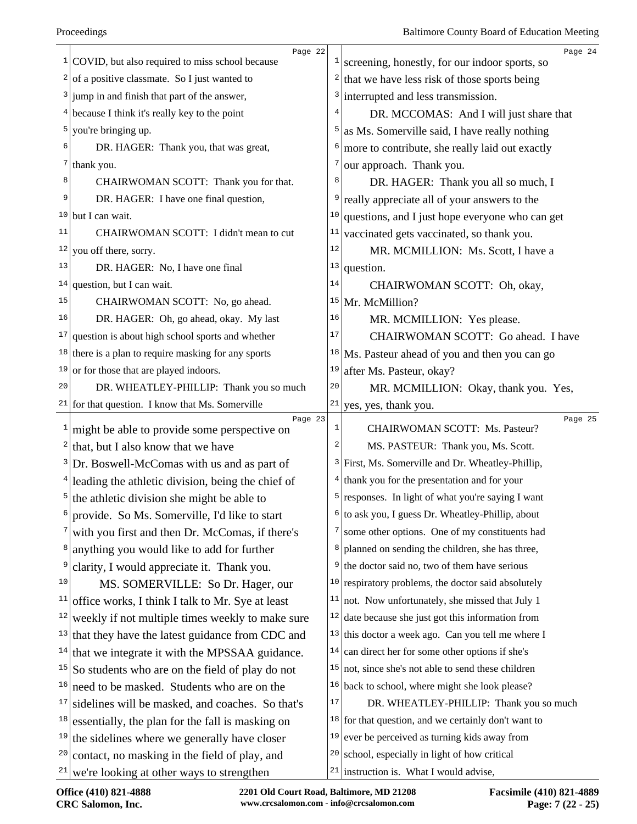|                | Page 22                                                    |                | Page 24                                                      |
|----------------|------------------------------------------------------------|----------------|--------------------------------------------------------------|
| 1              | COVID, but also required to miss school because            | $\mathbf{1}$   | screening, honestly, for our indoor sports, so               |
|                | $\frac{2}{1}$ of a positive classmate. So I just wanted to | $\overline{a}$ | that we have less risk of those sports being                 |
|                | $3$ jump in and finish that part of the answer,            | 3              | interrupted and less transmission.                           |
|                | $4$ because I think it's really key to the point           |                | DR. MCCOMAS: And I will just share that                      |
|                | $5$ you're bringing up.                                    | 5              | as Ms. Somerville said, I have really nothing                |
| 6              | DR. HAGER: Thank you, that was great,                      | 6              | more to contribute, she really laid out exactly              |
| 7              | thank you.                                                 | 7              | our approach. Thank you.                                     |
| 8              | CHAIRWOMAN SCOTT: Thank you for that.                      | 8              | DR. HAGER: Thank you all so much, I                          |
| 9              | DR. HAGER: I have one final question,                      | 9              | really appreciate all of your answers to the                 |
| 10             | but I can wait.                                            | 10             | questions, and I just hope everyone who can get              |
| 11             | CHAIRWOMAN SCOTT: I didn't mean to cut                     | 11             | vaccinated gets vaccinated, so thank you.                    |
| 12             | you off there, sorry.                                      | 12             | MR. MCMILLION: Ms. Scott, I have a                           |
| 13             | DR. HAGER: No, I have one final                            | 13             | question.                                                    |
| 14             | question, but I can wait.                                  | 14             | CHAIRWOMAN SCOTT: Oh, okay,                                  |
| 15             | CHAIRWOMAN SCOTT: No, go ahead.                            | 15             | Mr. McMillion?                                               |
| 16             | DR. HAGER: Oh, go ahead, okay. My last                     | 16             | MR. MCMILLION: Yes please.                                   |
| 17             | question is about high school sports and whether           | 17             | CHAIRWOMAN SCOTT: Go ahead. I have                           |
|                | $18$ there is a plan to require masking for any sports     | 18             | Ms. Pasteur ahead of you and then you can go                 |
| 19             | or for those that are played indoors.                      | 19             | after Ms. Pasteur, okay?                                     |
| 20             | DR. WHEATLEY-PHILLIP: Thank you so much                    | 20             | MR. MCMILLION: Okay, thank you. Yes,                         |
|                | $21$ for that question. I know that Ms. Somerville         | 21             | yes, yes, thank you.                                         |
|                | Page 23                                                    | $\mathbf{1}$   | Page 25<br>CHAIRWOMAN SCOTT: Ms. Pasteur?                    |
| $\frac{2}{ }$  | might be able to provide some perspective on               | 2              |                                                              |
|                | that, but I also know that we have                         |                | MS. PASTEUR: Thank you, Ms. Scott.                           |
|                | $3 Dr.$ Boswell-McComas with us and as part of             |                | <sup>3</sup> First, Ms. Somerville and Dr. Wheatley-Phillip, |
|                | $4$ leading the athletic division, being the chief of      |                | $4$ thank you for the presentation and for your              |
| 5 <sup>1</sup> | the athletic division she might be able to                 | 5              | responses. In light of what you're saying I want             |
| 6              | provide. So Ms. Somerville, I'd like to start              |                | to ask you, I guess Dr. Wheatley-Phillip, about              |
|                | with you first and then Dr. McComas, if there's            | 7              | some other options. One of my constituents had               |
| $8 \mid$       | anything you would like to add for further                 | 8              | planned on sending the children, she has three,              |
| 9              | clarity, I would appreciate it. Thank you.                 | 9              | the doctor said no, two of them have serious                 |
| 10             | MS. SOMERVILLE: So Dr. Hager, our                          | 10             | respiratory problems, the doctor said absolutely             |
| 11             | office works, I think I talk to Mr. Sye at least           |                | $11$ not. Now unfortunately, she missed that July 1          |
| 12             | weekly if not multiple times weekly to make sure           |                | $12$ date because she just got this information from         |
| 13             | that they have the latest guidance from CDC and            |                | $13$ this doctor a week ago. Can you tell me where I         |
| 14             | that we integrate it with the MPSSAA guidance.             |                | $14$ can direct her for some other options if she's          |
| 15             | So students who are on the field of play do not            |                | $15$ not, since she's not able to send these children        |
| 16             | need to be masked. Students who are on the                 |                | $16$ back to school, where might she look please?            |
| 17             | sidelines will be masked, and coaches. So that's           | 17             | DR. WHEATLEY-PHILLIP: Thank you so much                      |
| 18             | essentially, the plan for the fall is masking on           |                | $18$ for that question, and we certainly don't want to       |
| 19             | the sidelines where we generally have closer               |                | $19$ ever be perceived as turning kids away from             |
| 20             | contact, no masking in the field of play, and              | 20             | school, especially in light of how critical                  |
| 21             | we're looking at other ways to strengthen                  |                | $21$ instruction is. What I would advise,                    |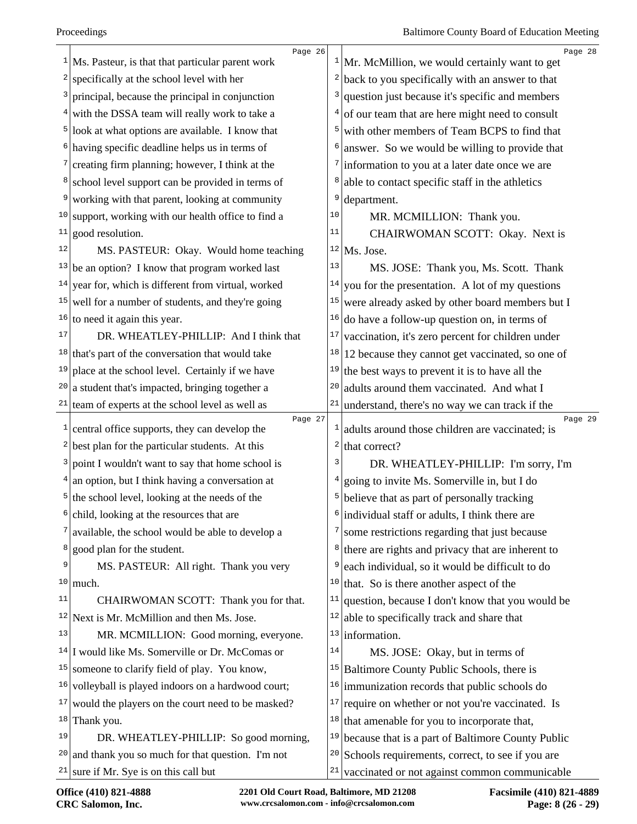|              | Page 26<br>$1$ Ms. Pasteur, is that that particular parent work | $\mathbf{I}$            | Page 28<br>Mr. McMillion, we would certainly want to get   |
|--------------|-----------------------------------------------------------------|-------------------------|------------------------------------------------------------|
| 2            | specifically at the school level with her                       | 2                       | back to you specifically with an answer to that            |
|              | principal, because the principal in conjunction                 | 3                       | question just because it's specific and members            |
| 4            | with the DSSA team will really work to take a                   | 4                       | of our team that are here might need to consult            |
|              | $5$ look at what options are available. I know that             | 5                       | with other members of Team BCPS to find that               |
|              | $6$ having specific deadline helps us in terms of               | 6                       | answer. So we would be willing to provide that             |
|              | creating firm planning; however, I think at the                 | 7                       | information to you at a later date once we are             |
|              | school level support can be provided in terms of                | 8                       | able to contact specific staff in the athletics            |
| 9            | working with that parent, looking at community                  | 9                       | department.                                                |
| 10           | support, working with our health office to find a               | 10                      | MR. MCMILLION: Thank you.                                  |
| 11           | good resolution.                                                | 11                      | CHAIRWOMAN SCOTT: Okay. Next is                            |
| 12           | MS. PASTEUR: Okay. Would home teaching                          |                         | $12$ Ms. Jose.                                             |
|              | $13$ be an option? I know that program worked last              | 13                      | MS. JOSE: Thank you, Ms. Scott. Thank                      |
| 14           | year for, which is different from virtual, worked               | 14                      | you for the presentation. A lot of my questions            |
| 15           | well for a number of students, and they're going                | 15                      | were already asked by other board members but I            |
| 16           | to need it again this year.                                     | 16                      | do have a follow-up question on, in terms of               |
| 17           | DR. WHEATLEY-PHILLIP: And I think that                          | 17                      | vaccination, it's zero percent for children under          |
|              | $18$ that's part of the conversation that would take            | 18                      | 12 because they cannot get vaccinated, so one of           |
| 19           | place at the school level. Certainly if we have                 | 19                      | the best ways to prevent it is to have all the             |
| 20           | a student that's impacted, bringing together a                  | 20                      | adults around them vaccinated. And what I                  |
|              | $21$ team of experts at the school level as well as             | 21                      | understand, there's no way we can track if the             |
| $\mathbf{1}$ | Page 27<br>central office supports, they can develop the        | $\mathbf{1}$            | Page 29<br>adults around those children are vaccinated; is |
| 2            | best plan for the particular students. At this                  | $\overline{\mathbf{c}}$ | that correct?                                              |
| 3            | point I wouldn't want to say that home school is                | 3                       | DR. WHEATLEY-PHILLIP: I'm sorry, I'm                       |
| 4            | an option, but I think having a conversation at                 | 4                       | going to invite Ms. Somerville in, but I do                |
|              | $5$ the school level, looking at the needs of the               | 5                       | believe that as part of personally tracking                |
| 6            | child, looking at the resources that are                        | 6                       | individual staff or adults, I think there are              |
|              | available, the school would be able to develop a                | 7                       | some restrictions regarding that just because              |
| 8            | good plan for the student.                                      | 8                       | there are rights and privacy that are inherent to          |
| 9            | MS. PASTEUR: All right. Thank you very                          | 9                       | each individual, so it would be difficult to do            |
| 10           | much.                                                           | 10                      | that. So is there another aspect of the                    |
| 11           | CHAIRWOMAN SCOTT: Thank you for that.                           | 11                      | question, because I don't know that you would be           |
|              | $12$ Next is Mr. McMillion and then Ms. Jose.                   | 12                      | able to specifically track and share that                  |
| 13           | MR. MCMILLION: Good morning, everyone.                          |                         | $13$ information.                                          |
|              | $14$ I would like Ms. Somerville or Dr. McComas or              | 14                      | MS. JOSE: Okay, but in terms of                            |
| 15           | someone to clarify field of play. You know,                     | 15                      | Baltimore County Public Schools, there is                  |
| 16           | volleyball is played indoors on a hardwood court;               | 16                      | immunization records that public schools do                |
| 17           | would the players on the court need to be masked?               | 17                      | require on whether or not you're vaccinated. Is            |
| 18           | Thank you.                                                      | 18                      | that amenable for you to incorporate that,                 |
| 19           | DR. WHEATLEY-PHILLIP: So good morning,                          | 19                      | because that is a part of Baltimore County Public          |
| 20           | and thank you so much for that question. I'm not                | 20                      | Schools requirements, correct, to see if you are           |
| 21           | sure if Mr. Sye is on this call but                             | 21                      | vaccinated or not against common communicable              |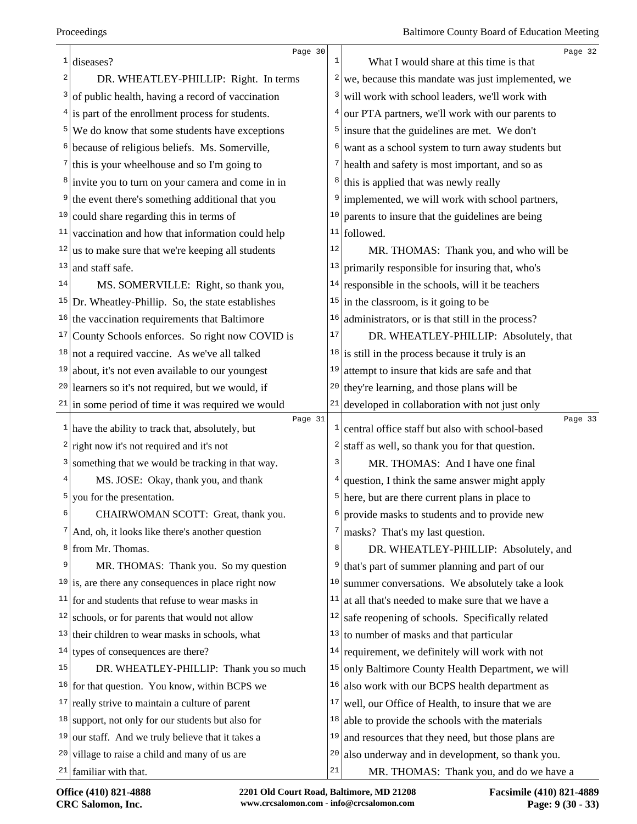|               | Page 30                                                                  | $\mathbf{1}$     | Page 32                                                                                 |
|---------------|--------------------------------------------------------------------------|------------------|-----------------------------------------------------------------------------------------|
| $\frac{1}{2}$ | diseases?                                                                |                  | What I would share at this time is that                                                 |
| 2             | DR. WHEATLEY-PHILLIP: Right. In terms                                    | $\left  \right $ | we, because this mandate was just implemented, we                                       |
| 3             | of public health, having a record of vaccination                         | 3                | will work with school leaders, we'll work with                                          |
|               | $4$ is part of the enrollment process for students.                      | 4 <sup>1</sup>   | our PTA partners, we'll work with our parents to                                        |
|               | $5$ We do know that some students have exceptions                        |                  | $5$ insure that the guidelines are met. We don't                                        |
|               | <sup>6</sup> because of religious beliefs. Ms. Somerville,               | 6                | want as a school system to turn away students but                                       |
|               | $\frac{7}{1}$ this is your wheelhouse and so I'm going to                |                  | $7$ health and safety is most important, and so as                                      |
|               | <sup>8</sup> invite you to turn on your camera and come in in            | 8                | this is applied that was newly really                                                   |
|               | <sup>9</sup> the event there's something additional that you             | 9 <sup>1</sup>   | implemented, we will work with school partners,                                         |
|               | $10$ could share regarding this in terms of                              | 10               | parents to insure that the guidelines are being                                         |
| 11            | vaccination and how that information could help                          |                  | $11$ followed.                                                                          |
|               | $12$ us to make sure that we're keeping all students                     | 12               | MR. THOMAS: Thank you, and who will be                                                  |
| 13            | and staff safe.                                                          | 13               | primarily responsible for insuring that, who's                                          |
| 14            | MS. SOMERVILLE: Right, so thank you,                                     | 14               | responsible in the schools, will it be teachers                                         |
|               | $15$ Dr. Wheatley-Phillip. So, the state establishes                     | 15               | in the classroom, is it going to be                                                     |
|               | $16$ the vaccination requirements that Baltimore                         | $16 \vert$       | administrators, or is that still in the process?                                        |
|               | $17$ County Schools enforces. So right now COVID is                      | 17               | DR. WHEATLEY-PHILLIP: Absolutely, that                                                  |
|               | $18$ not a required vaccine. As we've all talked                         |                  | $18$ is still in the process because it truly is an                                     |
| 19            | about, it's not even available to our youngest                           | 19               | attempt to insure that kids are safe and that                                           |
|               | $20$ learners so it's not required, but we would, if                     |                  | $20$ they're learning, and those plans will be                                          |
|               | $21$ in some period of time it was required we would                     | 21               | developed in collaboration with not just only                                           |
|               | Page 31<br>$\frac{1}{1}$ have the ability to track that, absolutely, but | $\mathbf{1}$     | Page 33<br>central office staff but also with school-based                              |
|               | $2$ right now it's not required and it's not                             | 2                | staff as well, so thank you for that question.                                          |
|               | <sup>3</sup> something that we would be tracking in that way.            | 3                | MR. THOMAS: And I have one final                                                        |
| 4             | MS. JOSE: Okay, thank you, and thank                                     |                  | $4$ question, I think the same answer might apply                                       |
| 5             | you for the presentation.                                                |                  | $5$ here, but are there current plans in place to                                       |
| 6             | CHAIRWOMAN SCOTT: Great, thank you.                                      | 6                | provide masks to students and to provide new                                            |
|               | $7$ And, oh, it looks like there's another question                      | 7                | masks? That's my last question.                                                         |
|               | <sup>8</sup> from Mr. Thomas.                                            | 8                |                                                                                         |
| 9             | MR. THOMAS: Thank you. So my question                                    | 9 <sup>1</sup>   | DR. WHEATLEY-PHILLIP: Absolutely, and<br>that's part of summer planning and part of our |
|               | $10$ is, are there any consequences in place right now                   | 10               | summer conversations. We absolutely take a look                                         |
|               | $11$ for and students that refuse to wear masks in                       | 11               | at all that's needed to make sure that we have a                                        |
| 12            | schools, or for parents that would not allow                             | 12               |                                                                                         |
|               |                                                                          | 13               | safe reopening of schools. Specifically related                                         |
|               | $13$ their children to wear masks in schools, what                       |                  | to number of masks and that particular                                                  |
| 15            | $14$ types of consequences are there?                                    | 14               | requirement, we definitely will work with not                                           |
|               | DR. WHEATLEY-PHILLIP: Thank you so much                                  | 15               | only Baltimore County Health Department, we will                                        |
|               | $16$ for that question. You know, within BCPS we                         | 16               | also work with our BCPS health department as                                            |
| 17            | really strive to maintain a culture of parent                            | 17               | well, our Office of Health, to insure that we are                                       |
| 18            | support, not only for our students but also for                          | 18               | able to provide the schools with the materials                                          |
| 19            | our staff. And we truly believe that it takes a                          | 19               | and resources that they need, but those plans are                                       |
| 20            | village to raise a child and many of us are                              | 20               | also underway and in development, so thank you.                                         |
|               | $21$ familiar with that.                                                 | 21               | MR. THOMAS: Thank you, and do we have a                                                 |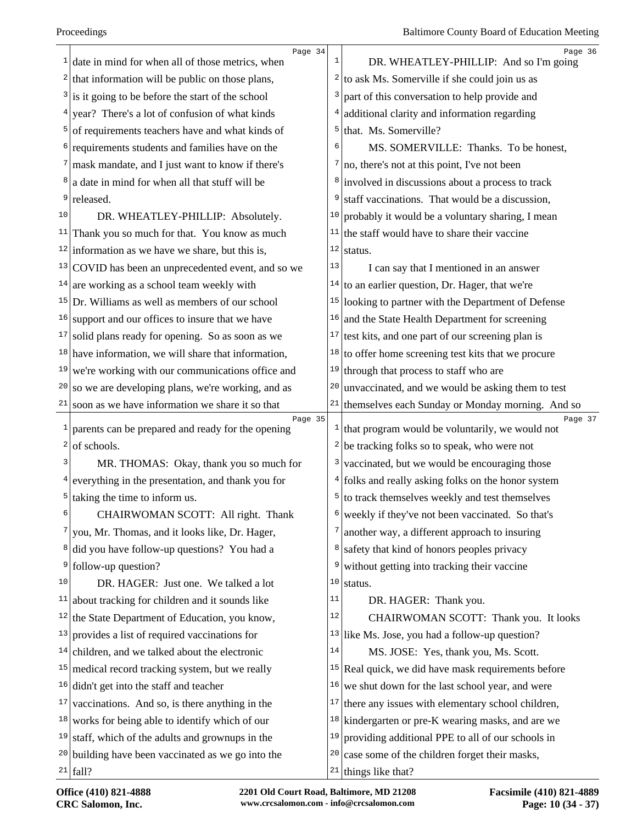| 1            | Page 34<br>date in mind for when all of those metrics, when  | 1                       | Page 36<br>DR. WHEATLEY-PHILLIP: And so I'm going                        |
|--------------|--------------------------------------------------------------|-------------------------|--------------------------------------------------------------------------|
| $\mathbf{2}$ | that information will be public on those plans,              | 2                       | to ask Ms. Somerville if she could join us as                            |
| 3            | is it going to be before the start of the school             | 3                       | part of this conversation to help provide and                            |
| 4            | year? There's a lot of confusion of what kinds               | 4                       | additional clarity and information regarding                             |
| 5            | of requirements teachers have and what kinds of              | 5                       | that. Ms. Somerville?                                                    |
| 6            | requirements students and families have on the               | 6                       | MS. SOMERVILLE: Thanks. To be honest,                                    |
| 7            | mask mandate, and I just want to know if there's             |                         | $\frac{7}{2}$ no, there's not at this point, I've not been               |
| 8            | a date in mind for when all that stuff will be               | 8                       | involved in discussions about a process to track                         |
| 9            | released.                                                    | 9                       | staff vaccinations. That would be a discussion,                          |
| 10           | DR. WHEATLEY-PHILLIP: Absolutely.                            | 10                      | probably it would be a voluntary sharing, I mean                         |
| 11           | Thank you so much for that. You know as much                 | 11                      | the staff would have to share their vaccine                              |
| 12           | information as we have we share, but this is,                | $1\,2$                  | status.                                                                  |
| 13           | COVID has been an unprecedented event, and so we             | 13                      | I can say that I mentioned in an answer                                  |
|              | $14$ are working as a school team weekly with                | 14                      | to an earlier question, Dr. Hager, that we're                            |
| 15           | Dr. Williams as well as members of our school                | 15                      | looking to partner with the Department of Defense                        |
| 16           | support and our offices to insure that we have               | 16                      | and the State Health Department for screening                            |
| 17           | solid plans ready for opening. So as soon as we              | 17                      | test kits, and one part of our screening plan is                         |
|              | $18$ have information, we will share that information,       |                         | $18$ to offer home screening test kits that we procure                   |
| 19           | we're working with our communications office and             | 19                      | through that process to staff who are                                    |
| 20           | so we are developing plans, we're working, and as            | 20                      | unvaccinated, and we would be asking them to test                        |
| 21           | soon as we have information we share it so that              | 21                      | themselves each Sunday or Monday morning. And so                         |
| $\mathbf{1}$ | Page 35<br>parents can be prepared and ready for the opening |                         | Page 37<br>$\frac{1}{1}$ that program would be voluntarily, we would not |
| 2            | of schools.                                                  | $\overline{\mathbf{c}}$ | be tracking folks so to speak, who were not                              |
| 3            | MR. THOMAS: Okay, thank you so much for                      | 3                       | vaccinated, but we would be encouraging those                            |
| 4            | everything in the presentation, and thank you for            | 4                       | folks and really asking folks on the honor system                        |
| 5            | taking the time to inform us.                                | 5                       | to track themselves weekly and test themselves                           |
| 6            | CHAIRWOMAN SCOTT: All right. Thank                           | 6                       | weekly if they've not been vaccinated. So that's                         |
| 7            | you, Mr. Thomas, and it looks like, Dr. Hager,               | 7                       | another way, a different approach to insuring                            |
| 8            | did you have follow-up questions? You had a                  | 8                       | safety that kind of honors peoples privacy                               |
| 9            | follow-up question?                                          | 9                       | without getting into tracking their vaccine                              |
| 10           | DR. HAGER: Just one. We talked a lot                         | 10                      | status.                                                                  |
| 11           | about tracking for children and it sounds like               | 11                      | DR. HAGER: Thank you.                                                    |
| 12           | the State Department of Education, you know,                 | 12                      | CHAIRWOMAN SCOTT: Thank you. It looks                                    |
| 13           | provides a list of required vaccinations for                 |                         | $13$ like Ms. Jose, you had a follow-up question?                        |
|              | $14$ children, and we talked about the electronic            | 14                      | MS. JOSE: Yes, thank you, Ms. Scott.                                     |
| 15           | medical record tracking system, but we really                |                         | $15$ Real quick, we did have mask requirements before                    |
| 16           | didn't get into the staff and teacher                        | 16                      | we shut down for the last school year, and were                          |
| 17           | vaccinations. And so, is there anything in the               | 17                      | there any issues with elementary school children,                        |
| 18           | works for being able to identify which of our                |                         | $18$ kindergarten or pre-K wearing masks, and are we                     |
| 19           | staff, which of the adults and grownups in the               | 19                      | providing additional PPE to all of our schools in                        |
|              | $20$ building have been vaccinated as we go into the         | 20                      | case some of the children forget their masks,                            |
|              | $21$ fall?                                                   |                         | <sup>21</sup> things like that?                                          |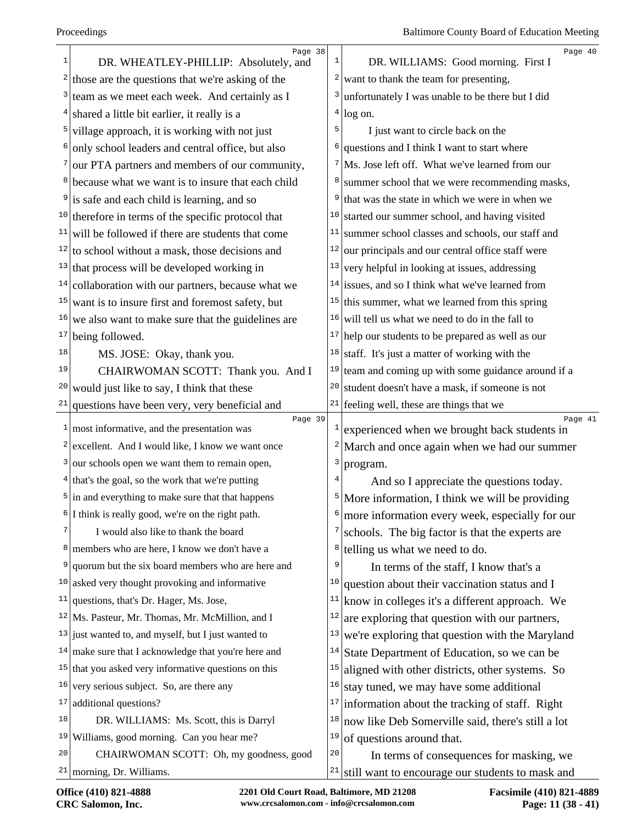|                 | Page 38                                                |      | Page 40                                                 |
|-----------------|--------------------------------------------------------|------|---------------------------------------------------------|
| 1               | DR. WHEATLEY-PHILLIP: Absolutely, and                  | 1    | DR. WILLIAMS: Good morning. First I                     |
| 2               | those are the questions that we're asking of the       | 2    | want to thank the team for presenting,                  |
| 3               | team as we meet each week. And certainly as I          | 3    | unfortunately I was unable to be there but I did        |
| 4               | shared a little bit earlier, it really is a            | 4    | log on.                                                 |
| 5               | village approach, it is working with not just          | 5    | I just want to circle back on the                       |
| 6               | only school leaders and central office, but also       | 6    | questions and I think I want to start where             |
|                 | our PTA partners and members of our community,         |      | Ms. Jose left off. What we've learned from our          |
| 8               | because what we want is to insure that each child      |      | summer school that we were recommending masks,          |
|                 | is safe and each child is learning, and so             | 9    | that was the state in which we were in when we          |
|                 | $10$ therefore in terms of the specific protocol that  | 10   | started our summer school, and having visited           |
| 11              | will be followed if there are students that come       | $11$ | summer school classes and schools, our staff and        |
|                 | $12$ to school without a mask, those decisions and     | 12   | our principals and our central office staff were        |
|                 | $13$ that process will be developed working in         | 13   | very helpful in looking at issues, addressing           |
| 14              | collaboration with our partners, because what we       |      | $14$ issues, and so I think what we've learned from     |
| 15              | want is to insure first and foremost safety, but       | 15   | this summer, what we learned from this spring           |
| 16              | we also want to make sure that the guidelines are      | 16   | will tell us what we need to do in the fall to          |
| 17 <sub>1</sub> | being followed.                                        |      | $17$ help our students to be prepared as well as our    |
| 18              | MS. JOSE: Okay, thank you.                             | 18   | staff. It's just a matter of working with the           |
| 19              | CHAIRWOMAN SCOTT: Thank you. And I                     | 19   | team and coming up with some guidance around if a       |
| 20              | would just like to say, I think that these             | 20   | student doesn't have a mask, if someone is not          |
| 21              | questions have been very, very beneficial and          |      | $21$ feeling well, these are things that we             |
| 1               | Page 39<br>most informative, and the presentation was  | 1    | Page 41<br>experienced when we brought back students in |
|                 | $2$ excellent. And I would like, I know we want once   | 2    | March and once again when we had our summer             |
| 3               | our schools open we want them to remain open,          | 3    | program.                                                |
|                 | $4$ that's the goal, so the work that we're putting    |      | And so I appreciate the questions today.                |
|                 | $5$ in and everything to make sure that that happens   | 5    | More information, I think we will be providing          |
|                 | I think is really good, we're on the right path.       |      | more information every week, especially for our         |
| 7               | I would also like to thank the board                   |      | schools. The big factor is that the experts are         |
| 8               | members who are here, I know we don't have a           | 8    | telling us what we need to do.                          |
| 9               | quorum but the six board members who are here and      | 9    | In terms of the staff, I know that's a                  |
| 10              | asked very thought provoking and informative           | 10   | question about their vaccination status and I           |
| 11              | questions, that's Dr. Hager, Ms. Jose,                 | 11   | know in colleges it's a different approach. We          |
|                 | $12$ Ms. Pasteur, Mr. Thomas, Mr. McMillion, and I     | 12   | are exploring that question with our partners,          |
|                 | $13$ just wanted to, and myself, but I just wanted to  | 13   | we're exploring that question with the Maryland         |
|                 | $14$ make sure that I acknowledge that you're here and | 14   | State Department of Education, so we can be             |
|                 | $15$ that you asked very informative questions on this | 15   | aligned with other districts, other systems. So         |
| 16              | very serious subject. So, are there any                | 16   | stay tuned, we may have some additional                 |
| 17              | additional questions?                                  | 17   | information about the tracking of staff. Right          |
| 18              | DR. WILLIAMS: Ms. Scott, this is Darryl                | 18   | now like Deb Somerville said, there's still a lot       |
| 19              |                                                        |      | of questions around that.                               |
|                 | Williams, good morning. Can you hear me?               | 19   |                                                         |
| 20              | CHAIRWOMAN SCOTT: Oh, my goodness, good                | $20$ | In terms of consequences for masking, we                |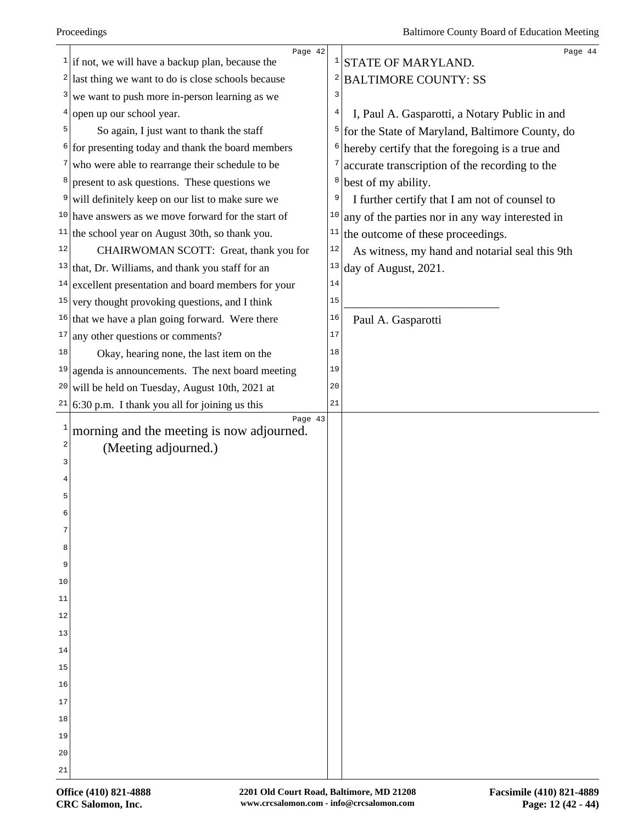|              | Page 42                                                       |        | Page 44                                         |
|--------------|---------------------------------------------------------------|--------|-------------------------------------------------|
|              | $\frac{1}{1}$ if not, we will have a backup plan, because the |        | <sup>1</sup> STATE OF MARYLAND.                 |
|              | $2$ last thing we want to do is close schools because         | 2      | <b>BALTIMORE COUNTY: SS</b>                     |
| 3            | we want to push more in-person learning as we                 | 3      |                                                 |
|              | open up our school year.                                      | 4      | I, Paul A. Gasparotti, a Notary Public in and   |
| 5            | So again, I just want to thank the staff                      | 5      | for the State of Maryland, Baltimore County, do |
|              | $6$ for presenting today and thank the board members          | 6      | hereby certify that the foregoing is a true and |
| 7            | who were able to rearrange their schedule to be               | 7      | accurate transcription of the recording to the  |
| 8            | present to ask questions. These questions we                  | 8      | best of my ability.                             |
| 9            | will definitely keep on our list to make sure we              | 9      | I further certify that I am not of counsel to   |
|              | $10$ have answers as we move forward for the start of         | 10     | any of the parties nor in any way interested in |
| 11           | the school year on August 30th, so thank you.                 | 11     | the outcome of these proceedings.               |
| 12           | CHAIRWOMAN SCOTT: Great, thank you for                        | $1\,2$ | As witness, my hand and notarial seal this 9th  |
| 13           | that, Dr. Williams, and thank you staff for an                | 13     | day of August, 2021.                            |
| 14           | excellent presentation and board members for your             | 14     |                                                 |
| 15           | very thought provoking questions, and I think                 | 15     |                                                 |
| 16           | that we have a plan going forward. Were there                 | 16     | Paul A. Gasparotti                              |
| 17           | any other questions or comments?                              | 17     |                                                 |
| 18           | Okay, hearing none, the last item on the                      | 18     |                                                 |
| 19           | agenda is announcements. The next board meeting               | 19     |                                                 |
| 20           | will be held on Tuesday, August 10th, 2021 at                 | 20     |                                                 |
|              | $21/6:30$ p.m. I thank you all for joining us this            | 21     |                                                 |
| $\mathbf{1}$ | Page 43<br>morning and the meeting is now adjourned.          |        |                                                 |
| 2            | (Meeting adjourned.)                                          |        |                                                 |
| 3            |                                                               |        |                                                 |
|              |                                                               |        |                                                 |
| 5            |                                                               |        |                                                 |
|              |                                                               |        |                                                 |
| 7            |                                                               |        |                                                 |
| 8            |                                                               |        |                                                 |
| 9            |                                                               |        |                                                 |
| 10           |                                                               |        |                                                 |
| 11           |                                                               |        |                                                 |
| 12           |                                                               |        |                                                 |
| 13           |                                                               |        |                                                 |
| 14           |                                                               |        |                                                 |
| 15           |                                                               |        |                                                 |
| 16           |                                                               |        |                                                 |
| 17           |                                                               |        |                                                 |
| 18           |                                                               |        |                                                 |
| 19           |                                                               |        |                                                 |
| 20           |                                                               |        |                                                 |
| 21           |                                                               |        |                                                 |
|              |                                                               |        |                                                 |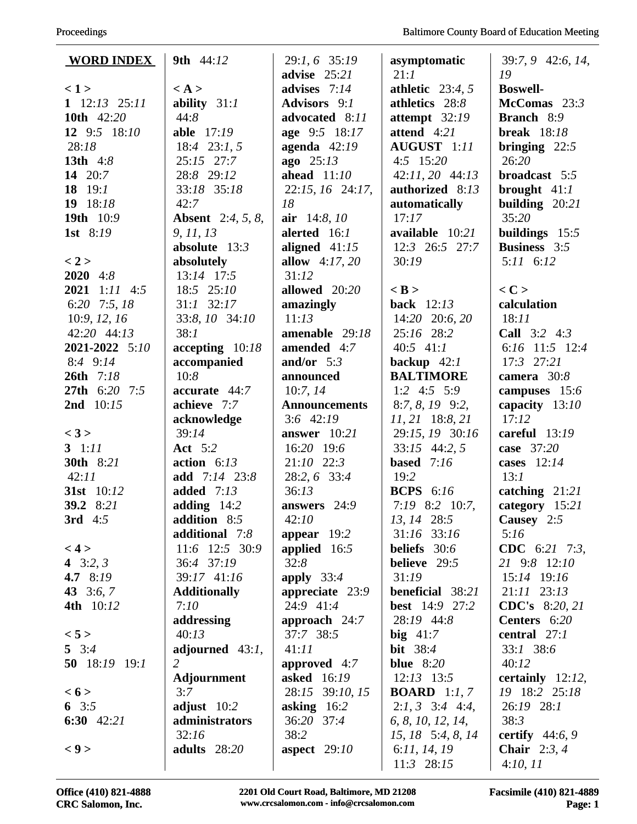| <b>WORD INDEX</b>       | <b>9th</b> 44:12         | 29:1, 6 35:19                  | asymptomatic                       | 39:7, 9 42:6, 14,                     |
|-------------------------|--------------------------|--------------------------------|------------------------------------|---------------------------------------|
|                         |                          | advise $25:21$                 | 21:1                               | 19                                    |
| $\langle 1 \rangle$     | $\langle A \rangle$      | advises $7:14$                 | athletic $23:4, 5$                 | <b>Boswell-</b>                       |
| $1 \t12:13 \t25:11$     | ability $31:1$           | Advisors 9:1                   | athletics 28:8                     | McComas $23:3$                        |
| 10th 42:20              | 44:8                     | advocated 8:11                 | attempt $32:19$<br>attend 4:21     | <b>Branch</b> 8:9                     |
| 12 9:5 18:10            | able 17:19               | age 9:5 18:17                  |                                    | <b>break</b> $18:18$                  |
| 28:18                   | 18:4 23:1, 5             | agenda $42:19$                 | AUGUST 1:11                        | bringing $22:5$                       |
| 13th 4:8                | 25:15 27:7               | $ago$ 25:13<br>ahead $11:10$   | $4:5$ 15:20                        | 26:20                                 |
| 14 20:7                 | 28:8 29:12               |                                | 42:11, 20 44:13<br>authorized 8:13 | broadcast 5:5                         |
| 18 $19:1$<br>19 $18:18$ | 33:18 35:18<br>42:7      | 22:15, 16 24:17,<br>18         |                                    | brought $41:1$                        |
| 19th 10:9               |                          |                                | automatically<br>17:17             | building $20:21$<br>35:20             |
|                         | <b>Absent</b> 2:4, 5, 8, | air $14:8, 10$<br>alerted 16:1 |                                    |                                       |
| 1st $8:19$              | 9, 11, 13                |                                | available 10:21                    | buildings 15:5<br><b>Business</b> 3:5 |
|                         | absolute $13:3$          | aligned $41:15$                | 12:3 26:5 27:7                     | $5:11 \quad 6:12$                     |
| < 2 ><br>$2020 \t4:8$   | absolutely<br>13:14 17:5 | allow $4:17,20$<br>31:12       | 30:19                              |                                       |
| $2021$ 1:11 4:5         | 18:5 25:10               | allowed 20:20                  | $<$ B $>$                          | $<$ C $>$                             |
|                         | $31:1$ $32:17$           |                                |                                    |                                       |
| 6:20 7:5, 18            |                          | amazingly                      | <b>back</b> 12:13                  | calculation                           |
| 10:9, 12, 16            | 33:8, 10 34:10           | 11:13                          | 14:20 20:6, 20                     | 18:11                                 |
| 42:20 44:13             | 38:1                     | amenable 29:18                 | 25:16 28:2                         | <b>Call</b> $3:2$ 4:3                 |
| 2021-2022 5:10          | $accepting$ 10:18        | amended 4:7                    | $40:5$ 41:1                        | 6:16 11:5 12:4                        |
| $8:4$ $9:14$            | accompanied              | and/or $5:3$                   | backup $42:1$                      | $17:3$ $27:21$                        |
| 26th 7:18               | 10:8                     | announced                      | <b>BALTIMORE</b>                   | camera $30:8$                         |
| 27th 6:20 7:5           | accurate 44:7            | 10:7,14                        | 1:2 4:5 5:9                        | campuses 15:6                         |
| 2nd 10:15               | achieve 7:7              | <b>Announcements</b>           | $8:7, 8, 19$ 9:2,                  | capacity 13:10                        |
|                         | acknowledge              | $3:6$ 42:19                    | $11, 21$ 18:8, 21                  | 17:12                                 |
| < 3 >                   | 39:14                    | answer 10:21                   | 29:15, 19 30:16                    | careful $13:19$                       |
| 3 $1:11$                | <b>Act</b> 5:2           | 16:20 19:6                     | $33:15$ 44:2, 5                    | case 37:20                            |
| 30th 8:21               | action $6:13$            | 21:10 22:3                     | based $7:16$                       | cases $12:14$                         |
| 42:11                   | add $7:14$ 23:8          | 28:2, 6 33:4                   | 19:2                               | 13:1                                  |
| 31st 10:12              | added $7:13$             | 36:13                          | <b>BCPS</b> 6:16                   | catching 21:21                        |
| 39.2 8:21               | adding $14:2$            | answers 24:9                   | $7:19$ 8:2 10:7,                   | category 15:21                        |
| 3rd 4:5                 | addition 8:5             | 42:10                          | 13, 14 28:5                        | Causey 2:5                            |
|                         | additional 7:8           | appear $19:2$                  | 31:16 33:16                        | 5:16                                  |
| < 4 >                   | 11:6 12:5 30:9           | applied $16:5$                 | beliefs $30:6$                     | CDC 6:21 7:3,                         |
| 4 $3:2, 3$              | 36:4 37:19               | 32:8                           | <b>believe</b> 29:5                | 21 9:8 12:10                          |
| 4.7 8:19                | 39:17 41:16              | apply $33:4$                   | 31:19                              | 15:14 19:16                           |
| 43 $3:6, 7$             | <b>Additionally</b>      | appreciate 23:9                | <b>beneficial</b> 38:21            | $21:11$ $23:13$                       |
| 4th 10:12               | 7:10                     | 24:9 41:4                      | <b>best</b> 14:9 27:2              | <b>CDC's</b> 8:20, 21                 |
|                         | addressing               | approach 24:7                  | 28:19 44:8                         | Centers 6:20                          |
| < 5 >                   | 40:13                    | 37:7 38:5                      | big $41:7$                         | central 27:1                          |
| 5 $3:4$                 | adjourned $43:1$ ,       | 41:11                          | <b>bit</b> 38:4                    | $33:1$ 38:6                           |
| 50 18:19 19:1           | 2                        | approved $4:7$                 | blue $8:20$                        | 40:12                                 |
|                         | Adjournment              | asked 16:19                    | $12:13$ 13:5                       | certainly $12:12$ ,                   |
| < 6 >                   | 3:7                      | 28:15 39:10, 15                | <b>BOARD</b> 1:1, 7                | 19 18:2 25:18                         |
| 6 $3:5$                 | adjust $10:2$            | asking $16:2$                  | $2:1, 3$ 3:4 4:4,                  | 26:19 28:1                            |
| 6:30 $42:21$            | administrators           | 36:20 37:4                     | 6, 8, 10, 12, 14,                  | 38:3                                  |
|                         | 32:16                    | 38:2                           | 15, 18 5:4, 8, 14                  | certify $44:6, 9$                     |
| < 9 >                   | adults 28:20             | aspect $29:10$                 | 6:11, 14, 19                       | Chair $2:3,4$                         |
|                         |                          |                                | 11:3 28:15                         | 4:10,11                               |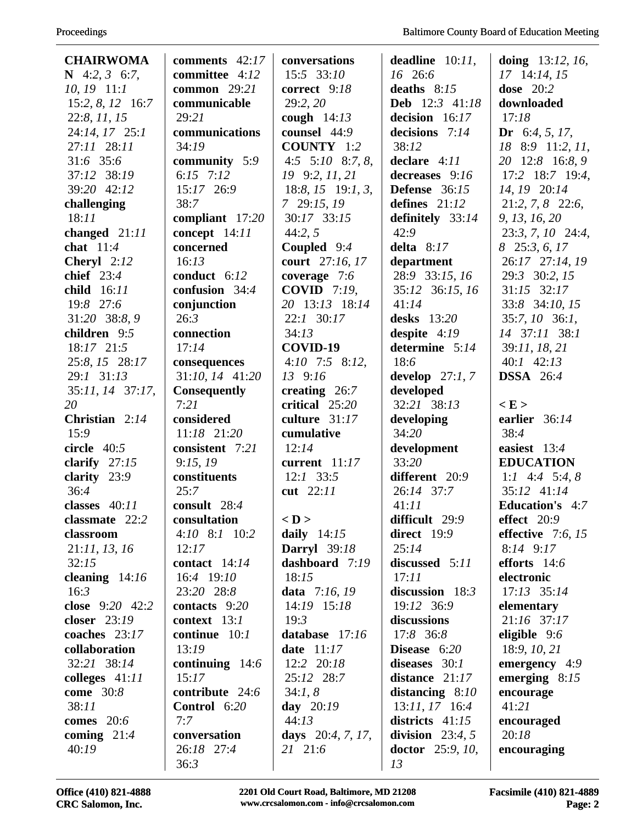| <b>CHAIRWOMA</b>     | comments $42:17$    | conversations               | deadline $10:11$ ,               | doing $13:12, 16$ ,    |
|----------------------|---------------------|-----------------------------|----------------------------------|------------------------|
| N 4:2, 3 6:7,        | committee 4:12      | 15:5 33:10                  | $16\quad 26:6$                   | 17 14:14, 15           |
| $10, 19$ 11:1        | <b>common</b> 29:21 | correct 9:18                | deaths $8:15$                    | dose $20:2$            |
| 15:2, 8, 12 16:7     | communicable        | 29:2, 20                    | Deb 12:3 41:18                   | downloaded             |
| 22:8, 11, 15         | 29:21               | cough $14:13$               | decision 16:17                   | 17:18                  |
| 24:14, 17 25:1       | communications      | counsel 44:9                | decisions 7:14                   | Dr 6:4, 5, 17,         |
| 27:11 28:11          | 34:19               | <b>COUNTY</b> 1:2           | 38:12                            | 18 8:9 11:2, 11,       |
| 31:6 35:6            | community 5:9       | 4:5 $5:10$ 8:7, 8,          | declare 4:11                     | 20 12:8 16:8, 9        |
| 37:12 38:19          | 6:15 $7:12$         | 19 9:2, 11, 21              | decreases 9:16                   | 17:2 18:7 19:4,        |
| 39:20 42:12          | 15:17 26:9          | $18:8$ , $15$ $19:1$ , 3,   | <b>Defense</b> $36:15$           | 14, 19 20:14           |
| challenging          | 38:7                | $7\quad29:15,19$            | defines $21:12$                  | 21:2, 7, 8 22:6,       |
| 18:11                | compliant 17:20     | 30:17 33:15                 | definitely 33:14                 | 9, 13, 16, 20          |
| changed $21:11$      | concept 14:11       | 44:2, 5                     | 42:9                             | 23:3, 7, 10 24:4,      |
| chat $11:4$          | concerned           | Coupled $9:4$               | delta $8:17$                     | 8 25:3, 6, 17          |
| <b>Cheryl</b> $2:12$ | 16:13               | court 27:16, 17             | department                       | 26:17 27:14, 19        |
| chief $23:4$         | conduct $6:12$      | coverage 7:6                | 28:9 33:15, 16                   | 29:3 30:2, 15          |
| child 16:11          | confusion 34:4      | <b>COVID</b> 7:19,          | 35:12 36:15, 16                  | $31:15$ $32:17$        |
| 19:8 27:6            | conjunction         | 20 13:13 18:14              | 41:14                            | 33:8 34:10, 15         |
| 31:20 38:8, 9        | 26:3                | 22:1 30:17                  | desks $13:20$                    | $35:7, 10$ 36:1,       |
| children 9:5         | connection          | 34:13                       |                                  | 14 37:11 38:1          |
| 18:17 21:5           | 17:14               | COVID-19                    | despite $4:19$<br>determine 5:14 | 39:11, 18, 21          |
| 25:8, 15 28:17       |                     |                             | 18:6                             | $40:1$ $42:13$         |
|                      | consequences        | $4:10$ 7:5 8:12,<br>13 9:16 |                                  |                        |
| 29:1 31:13           | 31:10, 14 41:20     |                             | develop $27:1, 7$                | <b>DSSA</b> 26:4       |
| $35:11, 14$ 37:17,   | <b>Consequently</b> | creating $26:7$             | developed                        |                        |
| 20                   | 7:21                | critical 25:20              | 32:21 38:13                      | $\langle E \rangle$    |
| Christian $2:14$     | considered          | culture 31:17               | developing                       | earlier 36:14          |
| 15:9                 | 11:18 21:20         | cumulative                  | 34:20                            | 38:4                   |
| circle $40:5$        | consistent 7:21     | 12:14                       | development                      | easiest 13:4           |
| clarify $27:15$      | 9:15,19             | current 11:17               | 33:20                            | <b>EDUCATION</b>       |
| clarity 23:9         | constituents        | $12:1$ 33:5                 | different 20:9                   | 1:1 4:4 5:4, 8         |
| 36:4                 | 25:7                | cut 22:11                   | 26:14 37:7                       | 35:12 41:14            |
| classes $40:11$      | consult 28:4        |                             | 41:11                            | <b>Education's</b> 4:7 |
| classmate 22:2       | consultation        | $<$ D $>$                   | difficult 29:9                   | effect 20:9            |
| classroom            | $4:10$ $8:1$ $10:2$ | daily $14:15$               | direct 19:9                      | effective $7:6, 15$    |
| 21:11, 13, 16        | 12:17               | <b>Darryl</b> 39:18         | 25:14                            | $8:14$ $9:17$          |
| 32:15                | contact $14:14$     | dashboard 7:19              | discussed 5:11                   | efforts $14:6$         |
| cleaning $14:16$     | 16:4 19:10          | 18:15                       | 17:11                            | electronic             |
| 16:3                 | 23:20 28:8          | data $7:16, 19$             | discussion $18:3$                | $17:13$ $35:14$        |
| close $9:20$ 42:2    | contacts $9:20$     | 14:19 15:18                 | 19:12 36:9                       | elementary             |
| closer 23:19         | context $13:1$      | 19:3                        | discussions                      | 21:16 37:17            |
| coaches $23:17$      | continue $10:1$     | database 17:16              | 17:8 36:8                        | eligible $9:6$         |
| collaboration        | 13:19               | date $11:17$                | Disease $6:20$                   | 18:9, 10, 21           |
| 32:21 38:14          | continuing $14:6$   | 12:2 20:18                  | diseases $30:1$                  | emergency 4:9          |
| colleges $41:11$     | 15:17               | 25:12 28:7                  | distance $21:17$                 | emerging $8:15$        |
| <b>come</b> 30:8     | contribute 24:6     | 34:1, 8                     | distancing $8:10$                | encourage              |
| 38:11                | Control 6:20        | day $20:19$                 | $13:11, 17$ 16:4                 | 41:21                  |
| comes $20:6$         | 7:7                 | 44:13                       | districts $41:15$                | encouraged             |
| coming $21:4$        | conversation        | days $20:4, 7, 17,$         | division $23:4, 5$               | 20:18                  |
| 40:19                | 26:18 27:4          | 21 21:6                     | doctor $25:9, 10,$               | encouraging            |
|                      | 36:3                |                             | 13                               |                        |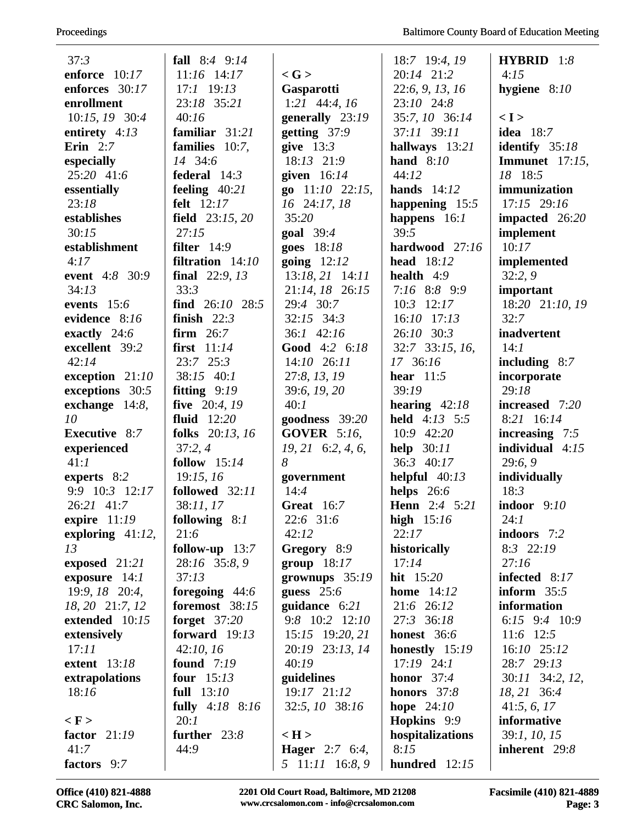| 37:3                 | fall $8:4$ 9:14     |                       | 18:7 19:4, 19     | <b>HYBRID</b> $1:8$      |
|----------------------|---------------------|-----------------------|-------------------|--------------------------|
| enforce 10:17        | 11:16 14:17         | $\langle G \rangle$   | 20:14 21:2        | 4:15                     |
| enforces 30:17       | 17:1 19:13          | Gasparotti            | 22:6, 9, 13, 16   | hygiene $8:10$           |
| enrollment           | 23:18 35:21         | 1:21 $44:4, 16$       | 23:10 24:8        |                          |
| 10:15, 19 30:4       | 40:16               | generally 23:19       | 35:7, 10 36:14    | < I >                    |
| entirety $4:13$      | familiar 31:21      | getting $37:9$        | 37:11 39:11       | <b>idea</b> 18:7         |
| Erin $2:7$           | families $10:7$ ,   | give $13:3$           | hallways 13:21    | identify $35:18$         |
| especially           | 14 34:6             | 18:13 21:9            | hand $8:10$       | <b>Immunet</b> $17:15$ , |
| 25:20 41:6           | federal $14:3$      | given $16:14$         | 44:12             | 18 18:5                  |
| essentially          | feeling $40:21$     | $go$ 11:10 22:15,     | hands $14:12$     | immunization             |
| 23:18                | felt 12:17          | 16 24:17, 18          | happening $15:5$  | 17:15 29:16              |
| establishes          | field $23:15,20$    | 35:20                 | happens $16:1$    | impacted 26:20           |
| 30:15                | 27:15               | goal $39:4$           | 39:5              | implement                |
| establishment        | filter $14:9$       | goes 18:18            | hardwood 27:16    | 10:17                    |
| 4:17                 | filtration $14:10$  | going $12:12$         | <b>head</b> 18:12 | implemented              |
| event 4:8 30:9       | final $22:9, 13$    | $13:18, 21$ 14:11     | health $4:9$      | 32:2,9                   |
| 34:13                | 33:3                | 21:14, 18 26:15       | 7:16 8:8 9:9      | important                |
| events 15:6          | find $26:10$ $28:5$ | 29:4 30:7             | $10:3$ 12:17      | 18:20 21:10, 19          |
| evidence 8:16        | finish $22:3$       | $32:15$ $34:3$        | $16:10$ $17:13$   | 32:7                     |
| exactly 24:6         | firm $26:7$         | 36:1 42:16            | 26:10 30:3        | inadvertent              |
| excellent 39:2       | first $11:14$       | Good 4:2 6:18         | 32:7 33:15, 16,   | 14:1                     |
| 42:14                | $23:7$ $25:3$       | $14:10$ $26:11$       | 17 36:16          | including $8:7$          |
| exception $21:10$    | 38:15 40:1          | 27:8, 13, 19          | hear $11:5$       | incorporate              |
| exceptions 30:5      | fitting $9:19$      | 39:6, 19, 20          | 39:19             | 29:18                    |
| exchange 14:8,       | five 20:4, 19       | 40:1                  | hearing $42:18$   | increased 7:20           |
| 10                   | fluid $12:20$       | goodness 39:20        | held 4:13 5:5     | 8:21 16:14               |
| <b>Executive</b> 8:7 | folks 20:13, 16     | <b>GOVER</b> 5:16,    | 10:9 42:20        | increasing $7:5$         |
| experienced          | 37:2,4              | $19, 21$ 6:2, 4, 6,   | help $30:11$      | individual $4:15$        |
| 41:1                 | follow $15:14$      | 8                     | 36:3 40:17        | 29:6,9                   |
| experts 8:2          | 19:15, 16           | government            | helpful $40:13$   | individually             |
| 9:9 10:3 12:17       | followed 32:11      | 14:4                  | helps $26:6$      | 18:3                     |
| 26:21 41:7           | 38:11, 17           | <b>Great</b> 16:7     | Henn 2:4 5:21     | indoor $9:10$            |
| expire $11:19$       | following $8:1$     | 22:6 31:6             | high $15:16$      | 24:1                     |
| exploring $41:12$ ,  | 21:6                | 42:12                 | 22:17             | indoors 7:2              |
| 13                   | follow-up $13:7$    | Gregory 8:9           | historically      | $8:3$ 22:19              |
| exposed 21:21        | 28:16 35:8, 9       | group $18:17$         | 17:14             | 27:16                    |
| exposure $14:1$      | 37:13               | grownups $35:19$      | hit $15:20$       | infected 8:17            |
| 19:9, 18 20:4,       | foregoing 44:6      | guess $25:6$          | home $14:12$      | inform $35:5$            |
| 18, 20 21:7, 12      | foremost 38:15      | guidance 6:21         | 21:6 26:12        | information              |
| extended 10:15       | forget $37:20$      | $9:8$ 10:2 12:10      | 27:3 36:18        | 6:15 $9:4$ 10:9          |
| extensively          | forward $19:13$     | 15:15 19:20, 21       | honest 36:6       | $11:6$ 12:5              |
| 17:11                | 42:10, 16           | 20:19 23:13, 14       | honestly 15:19    | 16:10 25:12              |
| <b>extent</b> 13:18  | found $7:19$        | 40:19                 | $17:19$ 24:1      | 28:7 29:13               |
| extrapolations       | four $15:13$        | guidelines            | honor $37:4$      | 30:11 34:2, 12,          |
| 18:16                | full $13:10$        | 19:17 21:12           | honors 37:8       | 18, 21 36:4              |
|                      | fully $4:18$ 8:16   | 32:5, 10 38:16        | hope $24:10$      | 41:5, 6, 17              |
| $\langle$ F $>$      | 20:1                |                       | Hopkins 9:9       | informative              |
| factor $21:19$       | further $23:8$      | $\langle H \rangle$   | hospitalizations  | 39:1, 10, 15             |
| 41:7                 | 44:9                | <b>Hager</b> 2:7 6:4, | 8:15              | inherent 29:8            |
| factors 9:7          |                     | 5 11:11 16:8, 9       | hundred 12:15     |                          |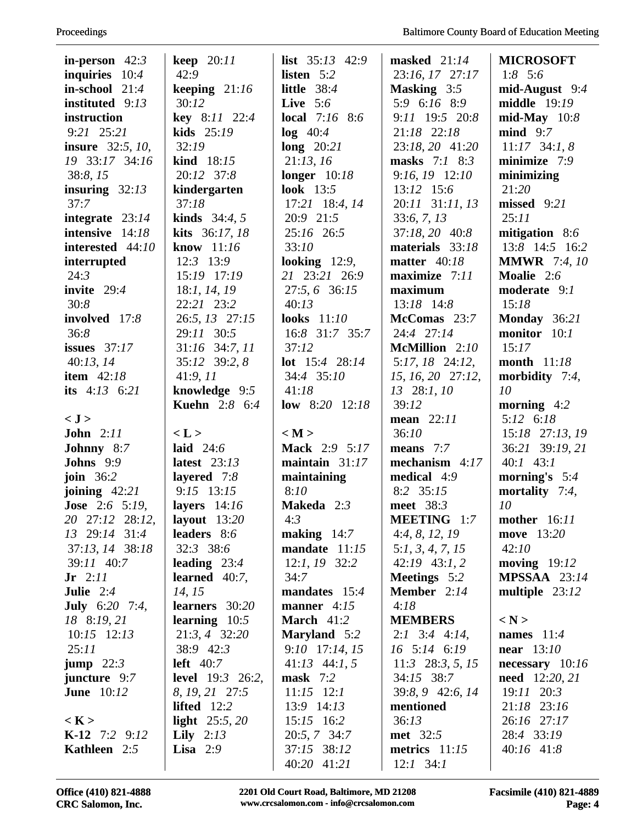| in-person $42:3$        | keep $20:11$            | list $35:13$ 42:9         | masked $21:14$     | <b>MICROSOFT</b>      |
|-------------------------|-------------------------|---------------------------|--------------------|-----------------------|
| inquiries $10:4$        | 42:9                    | listen 5:2                | 23:16, 17 27:17    | 1:8 $5:6$             |
| in-school $21:4$        | keeping $21:16$         | little $38:4$             | <b>Masking</b> 3:5 | $mid$ -August 9:4     |
| instituted 9:13         | 30:12                   | Live $5:6$                | 5:9 6:16 8:9       | middle $19:19$        |
| instruction             | key 8:11 22:4           | <b>local</b> $7:16$ 8:6   | 9:11 19:5 20:8     | $mid$ -May $10:8$     |
| $9:21$ $25:21$          | kids $25:19$            | $log$ 40:4                | 21:18 22:18        | $mid$ 9:7             |
| <b>insure</b> 32:5, 10, | 32:19                   | long $20:21$              | 23:18, 20 41:20    | $11:17$ 34:1, 8       |
| 19 33:17 34:16          | kind 18:15              | 21:13,16                  | masks $7:1$ 8:3    | minimize $7:9$        |
| 38:8, 15                | 20:12 37:8              | longer $10:18$            | 9:16, 19 12:10     | minimizing            |
| insuring $32:13$        | kindergarten            | <b>look</b> 13:5          | 13:12 15:6         | 21:20                 |
| 37:7                    | 37:18                   | 17:21 18:4, 14            | 20:11 31:11, 13    | missed 9:21           |
| integrate 23:14         | <b>kinds</b> $34:4, 5$  | 20:9 21:5                 | 33:6, 7, 13        | 25:11                 |
| intensive 14:18         | kits 36:17, 18          | 25:16 26:5                | $37:18, 20$ 40:8   | mitigation 8:6        |
| interested 44:10        | know $11:16$            | 33:10                     | materials 33:18    | 13:8 14:5 16:2        |
| interrupted             | 12:3 13:9               | looking $12:9$ ,          | matter $40:18$     | <b>MMWR</b> 7:4, 10   |
| 24:3                    | 15:19 17:19             | 21 23:21 26:9             | maximize $7:11$    | Moalie 2:6            |
| invite $29:4$           | 18:1, 14, 19            | 27:5, 6 36:15             | maximum            | moderate 9:1          |
| 30:8                    | 22:21 23:2              | 40:13                     | $13:18$ 14:8       | 15:18                 |
| involved 17:8           | 26:5, 13 27:15          | <b>looks</b> 11:10        | McComas 23:7       | Monday 36:21          |
| 36:8                    | 29:11 30:5              | 16:8 31:7 35:7            | 24:4 27:14         | monitor 10:1          |
| issues $37:17$          | 31:16 34:7, 11          | 37:12                     | McMillion 2:10     | 15:17                 |
| 40:13,14                | 35:12 39:2, 8           | <b>lot</b> $15:4$ $28:14$ | $5:17, 18$ 24:12,  | month $11:18$         |
| item $42:18$            | 41:9,11                 | 34:4 35:10                | 15, 16, 20 27:12,  | morbidity $7:4$ ,     |
| its $4:13 \quad 6:21$   | knowledge 9:5           | 41:18                     | $13 \quad 28:1,10$ | 10                    |
|                         | <b>Kuehn</b> 2:8 6:4    | low $8:20$ 12:18          | 39:12              | morning $4:2$         |
| < J >                   |                         |                           | mean $22:11$       | $5:12 \quad 6:18$     |
| <b>John</b> 2:11        | < L >                   | < M >                     | 36:10              | 15:18 27:13, 19       |
| Johnny 8:7              | laid $24:6$             | Mack 2:9 5:17             | means 7:7          | 36:21 39:19, 21       |
| <b>Johns</b> 9:9        | latest $23:13$          | maintain $31:17$          | mechanism $4:17$   | $40:1$ 43:1           |
| join $36:2$             | layered $7:8$           | maintaining               | medical 4:9        | morning's $5:4$       |
| joining $42:21$         | $9:15$ 13:15            | 8:10                      | 8:2 35:15          | mortality $7:4$ ,     |
| <b>Jose</b> 2:6 5:19,   | layers $14:16$          | <b>Makeda</b> $2:3$       | meet 38:3          | 10                    |
| 20 27:12 28:12,         | layout $13:20$          | 4:3                       | <b>MEETING</b> 1:7 | mother 16:11          |
| 13 29:14 31:4           | leaders 8:6             | making $14:7$             | 4:4, 8, 12, 19     | move 13:20            |
| 37:13, 14 38:18         | 32:3 38:6               | mandate 11:15             | 5:1, 3, 4, 7, 15   | 42:10                 |
| 39:11 40:7              | leading $23:4$          | $12:1, 19$ 32:2           | $42:19$ $43:1,2$   | moving $19:12$        |
| $Jr$ 2:11               | learned $40:7$ ,        | 34:7                      | Meetings 5:2       | <b>MPSSAA</b> $23:14$ |
| <b>Julie</b> $2:4$      | 14, 15                  | mandates 15:4             | Member 2:14        | multiple $23:12$      |
| <b>July</b> $6:20$ 7:4, | learners 30:20          | manner $4:15$             | 4:18               |                       |
| 18 8:19, 21             | learning $10:5$         | March $41:2$              | <b>MEMBERS</b>     | $\langle N \rangle$   |
| $10:15$ $12:13$         | 21:3, 4 32:20           | <b>Maryland</b> 5:2       | $2:1$ 3:4 4:14,    | names $11:4$          |
| 25:11                   | 38:9 42:3               | $9:10$ 17:14, 15          | $16$ 5:14 6:19     | near $13:10$          |
| jump $22:3$             | left $40:7$             | $41:13$ $44:1, 5$         | $11:3$ 28:3, 5, 15 | necessary $10:16$     |
| juncture 9:7            | <b>level</b> 19:3 26:2, | mask $7:2$                | 34:15 38:7         | <b>need</b> 12:20, 21 |
| <b>June</b> 10:12       | 8, 19, 21 27:5          | $11:15$ 12:1              | 39:8, 9 42:6, 14   | 19:11 20:3            |
|                         | lifted $12:2$           | $13:9$ $14:13$            | mentioned          | 21:18 23:16           |
| < K >                   | light $25:5, 20$        | $15:15$ 16:2              | 36:13              | 26:16 27:17           |
| <b>K-12</b> 7:2 9:12    | Lily $2:13$             | 20:5, 7 34:7              | <b>met</b> 32:5    | 28:4 33:19            |
| <b>Kathleen</b> 2:5     | <b>Lisa</b> $2:9$       | 37:15 38:12               | metrics $11:15$    | $40:16$ 41:8          |
|                         |                         | 40:20 41:21               | $12:1$ 34:1        |                       |
|                         |                         |                           |                    |                       |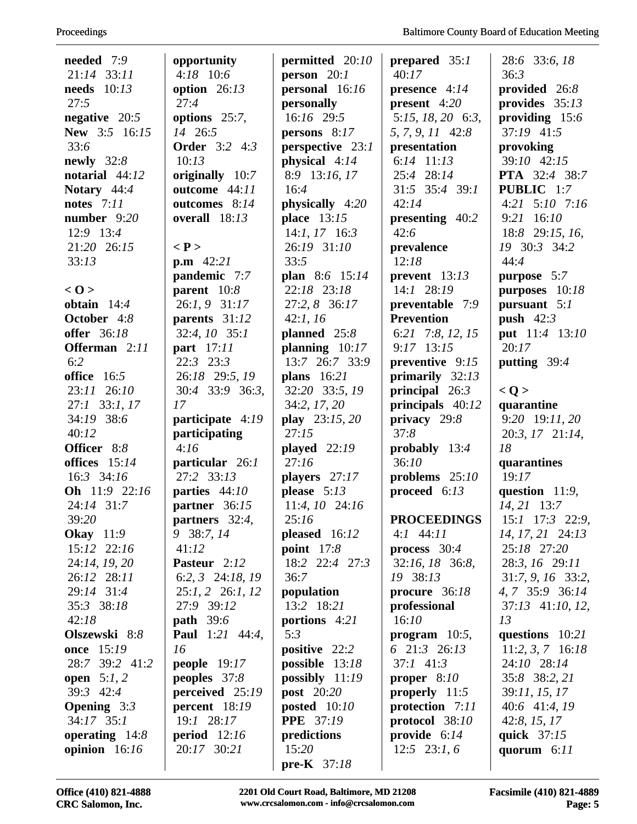| needed 7:9                  | opportunity                                | permitted $20:10$                           | prepared $35:1$             | 28:6 33:6, 18                |
|-----------------------------|--------------------------------------------|---------------------------------------------|-----------------------------|------------------------------|
| 21:14 33:11                 | $4:18$ 10:6                                | person 20:1                                 | 40:17                       | 36:3                         |
| needs $10:13$               | option $26:13$                             | personal 16:16                              | presence $4:14$             | provided 26:8                |
| 27:5                        | 27:4                                       | personally                                  | present $4:20$              | provides $35:13$             |
| negative $20:5$             | options $25:7$ ,                           | $16:16$ 29:5                                | 5:15, 18, 20 6:3,           | providing $15:6$             |
| New 3:5 16:15               | 14 26:5                                    | persons $8:17$                              | 5, 7, 9, 11 42:8            | 37:19 41:5                   |
| 33:6                        | <b>Order</b> 3:2 4:3                       | perspective 23:1                            | presentation                | provoking                    |
| newly $32:8$                | 10:13                                      | physical 4:14                               | $6:14$ $11:13$              | 39:10 42:15                  |
| notarial $44:12$            | originally 10:7                            | 8:9 13:16, 17                               | 25:4 28:14                  | <b>PTA</b> 32:4 38:7         |
| Notary $44:4$               | outcome 44:11                              | 16:4                                        | 31:5 35:4 39:1              | PUBLIC 1:7                   |
| <b>notes</b> 7:11           | outcomes 8:14                              | physically 4:20                             | 42:14                       | $4:21$ $5:10$ $7:16$         |
| number 9:20                 | overall $18:13$                            | place 13:15                                 | presenting 40:2             | 9:21 16:10                   |
| 12:9 13:4                   |                                            | $14:1, 17$ 16:3                             | 42:6                        | 18:8 29:15, 16,              |
| 21:20 26:15                 | $\langle P \rangle$                        | 26:19 31:10                                 | prevalence                  | 19 30:3 34:2                 |
| 33:13                       | $p.m \ 42:21$                              | 33:5                                        | 12:18                       | 44:4                         |
|                             | pandemic 7:7                               | plan 8:6 15:14                              | prevent 13:13               | purpose 5:7                  |
| < 0 >                       | parent $10:8$                              | 22:18 23:18                                 | $14:1$ 28:19                | purposes 10:18               |
| obtain $14:4$               | 26:1, 9 31:17                              | 27:2, 8 36:17                               | preventable 7:9             | pursuant $5:1$               |
| October 4:8                 | parents 31:12                              | 42:1, 16                                    | <b>Prevention</b>           | push $42:3$                  |
| <b>offer</b> 36:18          | 32:4, 10 35:1                              | planned $25:8$                              | 6:21 7:8, 12, 15            | put 11:4 13:10               |
| Offerman 2:11               | <b>part</b> 17:11                          | planning $10:17$                            | $9:17$ 13:15                | 20:17                        |
| 6:2                         | 22:3 23:3                                  | 13:7 26:7 33:9                              | preventive 9:15             | putting $39:4$               |
| office 16:5                 | 26:18 29:5, 19                             | plans $16:21$                               | primarily $32:13$           |                              |
| 23:11 26:10                 | 30:4 33:9 36:3,                            | 32:20 33:5, 19                              | principal $26:3$            | < Q >                        |
| $27:1$ 33:1, 17             | 17                                         | 34:2, 17, 20                                | principals $40:12$          | quarantine                   |
| 34:19 38:6                  | participate 4:19                           | play 23:15, 20                              | privacy 29:8                | 9:20 19:11, 20               |
| 40:12                       | participating                              | 27:15                                       | 37:8                        | 20:3, 17 21:14,              |
| Officer 8:8                 | 4:16                                       | played $22:19$                              | probably $13:4$             | 18                           |
| offices $15:14$             | particular 26:1                            | 27:16                                       | 36:10                       | quarantines                  |
| 16:3 34:16                  | 27:2 33:13                                 | players 27:17                               | problems $25:10$            | 19:17                        |
| <b>Oh</b> 11:9 22:16        | parties 44:10                              | please $5:13$                               | proceed $6:13$              | question $11:9$ ,            |
| 24:14 31:7                  | partner 36:15                              | 11:4, 10 24:16                              |                             | $14, 21$ 13:7                |
| 39:20                       | partners 32:4,                             | 25:16                                       | <b>PROCEEDINGS</b>          | 15:1 17:3 22:9,              |
| <b>Okay</b> 11:9            | 9 38:7, 14                                 | pleased $16:12$                             | $4:1$ $44:11$               | 14, 17, 21 24:13             |
| $15:12$ $22:16$             | 41:12                                      | <b>point</b> $17:8$                         | process $30:4$              | 25:18 27:20                  |
| 24:14, 19, 20               | Pasteur 2:12                               | 18:2 22:4 27:3                              | 32:16, 18 36:8,             | 28:3, 16 29:11               |
| 26:12 28:11                 | 6:2, 3 $24:18$ , 19                        | 36:7                                        | 19 38:13                    | $31:7, 9, 16$ 33:2,          |
| 29:14 31:4                  | $25:1, 2$ 26:1, 12                         | population                                  | procure $36:18$             | 4, 7 35:9 36:14              |
| 35:3 38:18                  | 27:9 39:12                                 | 13:2 18:21                                  | professional                | 37:13 41:10, 12,             |
| 42:18                       | <b>path</b> 39:6<br><b>Paul</b> 1:21 44:4, | portions 4:21                               | 16:10                       | 13                           |
| Olszewski 8:8<br>once 15:19 | 16                                         | 5:3                                         | program $10:5$ ,            | questions $10:21$            |
| 28:7 39:2 41:2              |                                            | positive 22:2                               | 6 21:3 26:13<br>$37:1$ 41:3 | $11:2, 3, 7$ 16:18           |
| open $5:1,2$                | people $19:17$<br>peoples $37:8$           | <b>possible</b> $13:18$<br>possibly $11:19$ | proper $8:10$               | 24:10 28:14<br>35:8 38:2, 21 |
| 39:3 42:4                   | perceived 25:19                            | <b>post</b> 20:20                           | properly $11:5$             | 39:11, 15, 17                |
| <b>Opening</b> $3:3$        | percent $18:19$                            | posted $10:10$                              | protection 7:11             | 40:6 41:4, 19                |
| $34:17$ $35:1$              | 19:1 28:17                                 | <b>PPE</b> 37:19                            | protocol $38:10$            | 42:8, 15, 17                 |
| operating $14:8$            | period $12:16$                             | predictions                                 | provide $6:14$              | <b>quick</b> 37:15           |
| opinion $16:16$             | 20:17 30:21                                | 15:20                                       | $12:5$ $23:1, 6$            | quorum $6:11$                |
|                             |                                            | pre-K $37:18$                               |                             |                              |
|                             |                                            |                                             |                             |                              |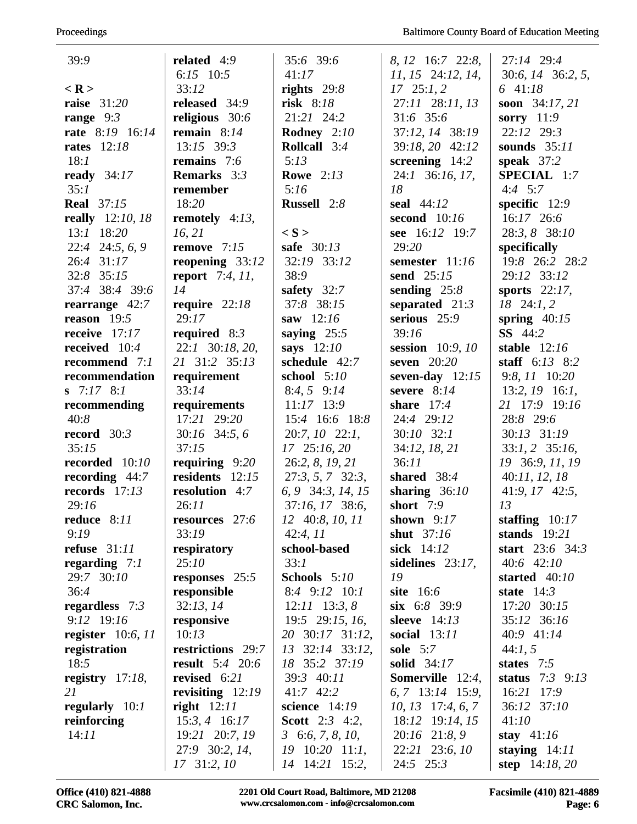| 39:9                    | related 4:9            | 35:6 39:6                 | 8, 12 16:7 22:8,        | 27:14 29:4          |
|-------------------------|------------------------|---------------------------|-------------------------|---------------------|
|                         | 6:15 $10:5$            | 41:17                     | $11, 15$ 24:12, 14,     | 30:6, 14 36:2, 5,   |
| $<$ R >                 | 33:12                  | rights $29:8$             | $17 \quad 25:1, 2$      | 6 $41:18$           |
| raise $31:20$           | released 34:9          | risk 8:18                 | 27:11 28:11, 13         | soon 34:17, 21      |
| range $9:3$             | religious 30:6         | 21:21 24:2                | 31:6 35:6               | sorry $11:9$        |
| rate 8:19 16:14         | remain $8:14$          | Rodney 2:10               | 37:12, 14 38:19         | 22:12 29:3          |
| <b>rates</b> 12:18      | $13:15$ 39:3           | <b>Rollcall</b> 3:4       | 39:18, 20 42:12         | sounds $35:11$      |
| 18:1                    | <b>remains</b> 7:6     | 5:13                      | screening $14:2$        | speak $37:2$        |
| ready $34:17$           | <b>Remarks</b> 3:3     | <b>Rowe</b> 2:13          | 24:1 36:16, 17,         | SPECIAL 1:7         |
| 35:1                    | remember               | 5:16                      | 18                      | $4:4$ 5:7           |
| <b>Real</b> 37:15       | 18:20                  | Russell 2:8               | seal $44:12$            | specific $12:9$     |
| <b>really</b> 12:10, 18 | remotely $4:13$ ,      |                           | second $10:16$          | 16:17 26:6          |
| 13:1 18:20              | 16, 21                 | $\langle S \rangle$       | see 16:12 19:7          | 28:3, 8 38:10       |
| $22:4$ $24:5, 6, 9$     | remove $7:15$          | safe 30:13                | 29:20                   | specifically        |
| 26:4 31:17              | reopening $33:12$      | 32:19 33:12               | semester 11:16          | 19:8 26:2 28:2      |
| 32:8 35:15              | <b>report</b> 7:4, 11, | 38:9                      | send $25:15$            | 29:12 33:12         |
| 37:4 38:4 39:6          | 14                     | safety $32:7$             | sending $25:8$          | sports $22:17$ ,    |
| rearrange $42:7$        | require $22:18$        | 37:8 38:15                | separated $21:3$        | $18$ $24:1, 2$      |
| reason $19:5$           | 29:17                  | saw $12:16$               | serious 25:9            | spring $40:15$      |
| receive $17:17$         | required $8:3$         | saying $25:5$             | 39:16                   | <b>SS</b> 44:2      |
| received 10:4           | 22:1 30:18, 20,        | says $12:10$              | session 10:9, 10        | stable $12:16$      |
| recommend 7:1           | 21 31:2 35:13          | schedule 42:7             | seven $20:20$           | staff $6:13$ $8:2$  |
| recommendation          | requirement            | school $5:10$             | seven-day $12:15$       | 9:8, 11 10:20       |
| $S$ 7:17 8:1            | 33:14                  | $8:4, 5$ $9:14$           | severe $8:14$           | $13:2, 19$ 16:1,    |
| recommending            | requirements           | $11:17$ 13:9              | share $17:4$            | 21 17:9 19:16       |
| 40:8                    | 17:21 29:20            | 15:4 16:6 18:8            | 24:4 29:12              | 28:8 29:6           |
| record $30:3$           | 30:16 34:5, 6          | $20:7, 10$ $22:1,$        | $30:10$ $32:1$          | 30:13 31:19         |
| 35:15                   | 37:15                  | $17$ $25:16,20$           | 34:12, 18, 21           | $33:1, 2$ $35:16$ , |
| recorded 10:10          | requiring $9:20$       | 26:2, 8, 19, 21           | 36:11                   | 19 36:9, 11, 19     |
| recording $44:7$        | residents 12:15        | $27:3, 5, 7$ 32:3,        | shared $38:4$           | 40:11, 12, 18       |
| records $17:13$         | <b>resolution</b> 4:7  | 6, 9 34:3, 14, 15         | sharing $36:10$         | $41:9, 17$ $42:5,$  |
| 29:16                   | 26:11                  | 37:16, 17 38:6,           | short $7:9$             | 13                  |
| reduce $8:11$           | <b>resources</b> 27:6  | $12 \quad 40:8, 10, 11$   | shown $9:17$            | staffing $10:17$    |
| 9:19                    | 33:19                  | 42:4, 11                  | shut $37:16$            | stands $19:21$      |
| refuse $31:11$          | respiratory            | school-based              | sick 14:12              | start $23:6$ 34:3   |
| regarding $7:1$         | 25:10                  | 33:1                      | sidelines $23:17$ ,     | $40:6$ $42:10$      |
| 29:7 30:10              | responses 25:5         | Schools 5:10              | 19                      | started $40:10$     |
| 36:4                    | responsible            | $8:4$ 9:12 10:1           | site $16:6$             | state $14:3$        |
| regardless $7:3$        | 32:13, 14              | $12:11$ 13:3, 8           | $\sin 6:8$ 39:9         | 17:20 30:15         |
| 9:12 19:16              | responsive             | 19:5 29:15, 16,           | sleeve $14:13$          | 35:12 36:16         |
| register $10:6$ , $11$  | 10:13                  | 20 30:17 31:12,           | <b>social</b> 13:11     | 40:9 41:14          |
| registration            | restrictions 29:7      | 13<br>$32:14$ $33:12$ ,   | sole $5:7$              | 44:1, 5             |
| 18:5                    | <b>result</b> 5:4 20:6 | 18 35:2 37:19             | solid 34:17             | states $7:5$        |
| registry $17:18$ ,      | revised 6:21           | 39:3 40:11                | <b>Somerville</b> 12:4, | status $7:3$ 9:13   |
| 21                      | revisiting $12:19$     | 41:7 42:2                 | $6, 7$ 13:14 15:9,      | 16:21 17:9          |
| regularly $10:1$        | right $12:11$          | science $14:19$           | $10, 13$ 17:4, 6, 7     | 36:12 37:10         |
| reinforcing             | $15:3, 4$ 16:17        | <b>Scott</b> 2:3 4:2,     | 18:12 19:14, 15         | 41:10               |
| 14:11                   | 19:21 20:7, 19         | $3\text{ }6:6, 7, 8, 10,$ | 20:16 21:8, 9           | stay $41:16$        |
|                         | 27:9 30:2, 14,         | $19$ $10:20$ $11:1$ ,     | 22:21 23:6, 10          | staying $14:11$     |
|                         | $17$ 31:2, $10$        | 14 14:21 15:2,            | $24:5$ $25:3$           | step $14:18, 20$    |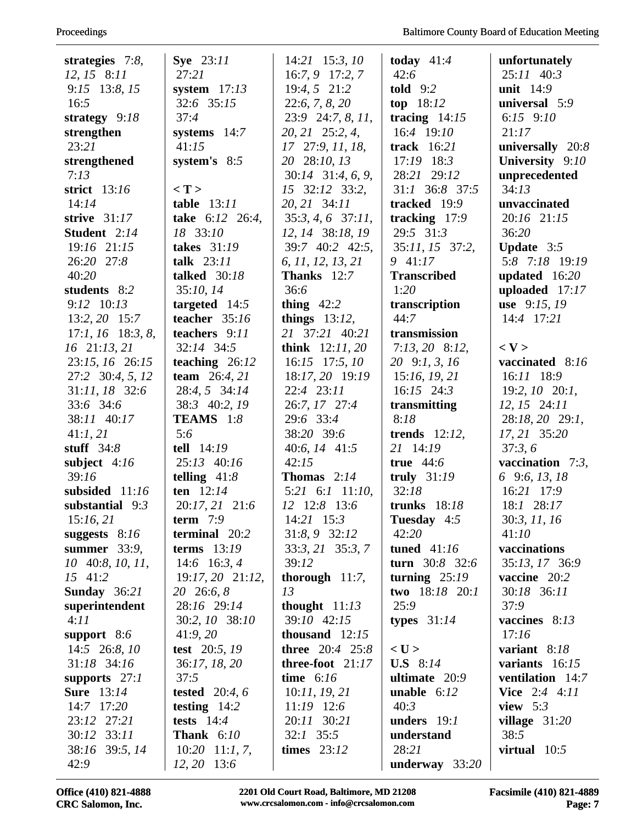| strategies $7:8$ ,  | <b>Sye</b> 23:11    | $14:21$ 15:3, 10              | today $41:4$         | unfortunately           |
|---------------------|---------------------|-------------------------------|----------------------|-------------------------|
| $12, 15$ 8:11       | 27:21               | $16:7,9$ 17:2, 7              | 42:6                 | $25:11 \quad 40:3$      |
| 9:15 13:8, 15       | system $17:13$      | 19:4, 5 21:2                  | <b>told</b> 9:2      | unit $14:9$             |
| 16:5                | 32:6 35:15          | 22:6, 7, 8, 20                | top $18:12$          | universal 5:9           |
| strategy 9:18       | 37:4                | $23:9$ 24:7, 8, 11,           | tracing $14:15$      | 6:15 $9:10$             |
| strengthen          | systems $14:7$      | 20, 21 25:2, 4,               | 16:4 19:10           | 21:17                   |
| 23:21               | 41:15               | 17 27:9, 11, 18,              | track $16:21$        | universally 20:8        |
| strengthened        | system's $8:5$      | 20 28:10, 13                  | 17:19 18:3           | University 9:10         |
| 7:13                |                     | $30:14$ $31:4, 6, 9$ ,        | 28:21 29:12          | unprecedented           |
| strict 13:16        | < T                 | 15 32:12 33:2,                | 31:1 36:8 37:5       | 34:13                   |
| 14:14               | table $13:11$       | 20, 21 34:11                  | tracked 19:9         | unvaccinated            |
| strive $31:17$      | take 6:12 26:4,     | $35:3, 4, 6$ 37:11,           | tracking $17:9$      | 20:16 21:15             |
| Student 2:14        | 18 33:10            | 12, 14 38:18, 19              | 29:5 31:3            | 36:20                   |
| 19:16 21:15         | takes 31:19         | 39:7 40:2 42:5,               | 35:11, 15 37:2,      | <b>Update</b> $3:5$     |
| 26:20 27:8          | talk $23:11$        | 6, 11, 12, 13, 21             | 9 41:17              | 5:8 7:18 19:19          |
| 40:20               | talked 30:18        | <b>Thanks</b> 12:7            | <b>Transcribed</b>   | updated $16:20$         |
| students 8:2        | 35:10, 14           | 36:6                          | 1:20                 | uploaded 17:17          |
| $9:12 \quad 10:13$  | targeted $14:5$     | thing $42:2$                  | transcription        | use 9:15, 19            |
| $13:2, 20$ 15:7     | teacher 35:16       | things $13:12$ ,              | 44:7                 | 14:4 17:21              |
| $17:1, 16$ 18:3, 8, | teachers 9:11       | 21 37:21 40:21                | transmission         |                         |
| 16 21:13, 21        | 32:14 34:5          | <b>think</b> $12:11,20$       | $7:13,20$ 8:12,      | $<$ V $>$               |
| 23:15, 16 26:15     | teaching $26:12$    | $16:15$ 17:5, 10              | 20 9:1, 3, 16        | vaccinated 8:16         |
| 27:2 30:4, 5, 12    | team 26:4, 21       | 18:17, 20 19:19               | 15:16, 19, 21        | 16:11 18:9              |
| 31:11, 18 32:6      | 28:4, 5 34:14       | 22:4 23:11                    | $16:15$ 24:3         | $19:2, 10$ $20:1,$      |
| 33:6 34:6           | 38:3 40:2, 19       | 26:7, 17 27:4                 | transmitting         | $12, 15$ $24:11$        |
| 38:11 40:17         | <b>TEAMS</b> 1:8    | 29:6 33:4                     | 8:18                 | 28:18, 20 29:1,         |
| 41:1,21             | 5:6                 | 38:20 39:6                    | trends $12:12$ ,     | 17, 21 35:20            |
| stuff $34:8$        | tell $14:19$        | 40:6, $14$ 41:5               | 21 14:19             | 37:3,6                  |
| subject $4:16$      | 25:13 40:16         | 42:15                         | true $44:6$          | vaccination $7:3$ ,     |
| 39:16               | telling $41:8$      | Thomas $2:14$                 | truly $31:19$        | 6 9:6, 13, 18           |
| subsided 11:16      | ten $12:14$         | $5:21 \quad 6:1 \quad 11:10,$ | 32:18                | 16:21 17:9              |
| substantial 9:3     | 20:17, 21 21:6      | 12 12:8 13:6                  | trunks $18:18$       | 18:1 28:17              |
| 15:16,21            | term $7:9$          | 14:21 15:3                    | Tuesday 4:5          | 30:3, 11, 16            |
| suggests $8:16$     | terminal 20:2       | 31:8, 9 32:12                 | 42:20                | 41:10                   |
| summer $33:9$ ,     | terms $13:19$       | $33:3, 21$ $35:3, 7$          | tuned $41:16$        | vaccinations            |
| 10 40:8, 10, 11,    | 14:6 16:3, 4        | 39:12                         | turn $30:8$ 32:6     | 35:13, 17 36:9          |
| 15 41:2             | $19:17,20$ $21:12,$ | thorough $11:7$ ,             | turning $25:19$      | vaccine 20:2            |
| Sunday $36:21$      | 20 26:6, 8          | 13                            | two 18:18 20:1       | 30:18 36:11             |
| superintendent      | 28:16 29:14         | thought $11:13$               | 25:9                 | 37:9                    |
| 4:11                | 30:2, 10 38:10      | 39:10 42:15                   | types $31:14$        | vaccines 8:13           |
| support 8:6         | 41:9,20             | thousand $12:15$              |                      | 17:16                   |
| 14:5 26:8, 10       | test 20:5, 19       | <b>three</b> $20:4$ 25:8      | $<$ U $>$            | variant 8:18            |
| 31:18 34:16         | 36:17, 18, 20       | three-foot 21:17              | <b>U.S</b> 8:14      | variants $16:15$        |
| supports $27:1$     | 37:5                | time $6:16$                   | ultimate $20:9$      | <b>ventilation</b> 14:7 |
| <b>Sure</b> 13:14   | tested $20:4, 6$    | 10:11, 19, 21                 | <b>unable</b> $6:12$ | <b>Vice</b> $2:4$ 4:11  |
| 14:7 17:20          | testing $14:2$      | $11:19$ 12:6                  | 40:3                 | view $5:3$              |
| 23:12 27:21         | tests $14:4$        | 20:11 30:21                   | unders $19:1$        | village $31:20$         |
| 30:12 33:11         | <b>Thank</b> 6:10   | $32:1$ 35:5                   | understand           | 38:5                    |
| 38:16 39:5, 14      | $10:20$ 11:1, 7,    | times $23:12$                 | 28:21                | virtual $10:5$          |
| 42:9                | $12, 20$ 13:6       |                               | underway $33:20$     |                         |